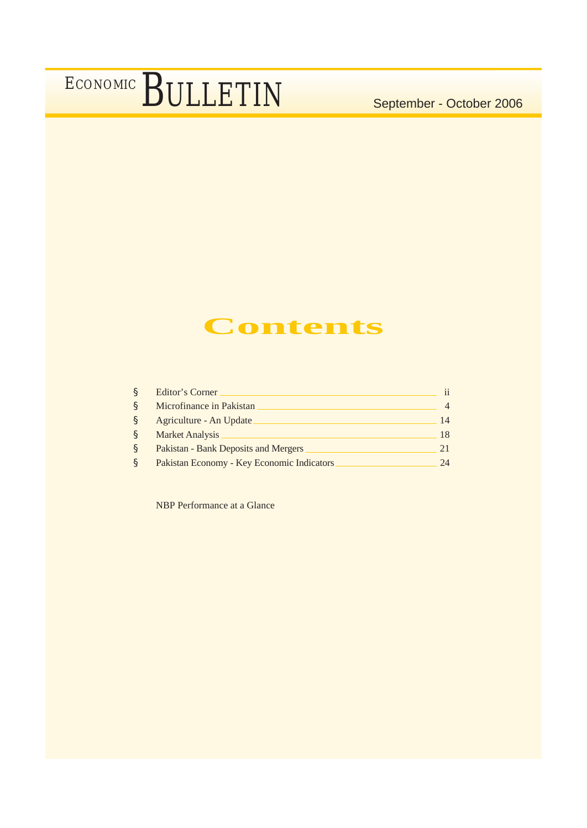### **Contents**

| S            | Editor's Corner                            |    |
|--------------|--------------------------------------------|----|
| S            | Microfinance in Pakistan                   |    |
| <sub>S</sub> | Agriculture - An Update                    | 14 |
| S            | <b>Market Analysis</b>                     | 18 |
| S            | Pakistan - Bank Deposits and Mergers       | 21 |
| S            | Pakistan Economy - Key Economic Indicators | 24 |

NBP Performance at a Glance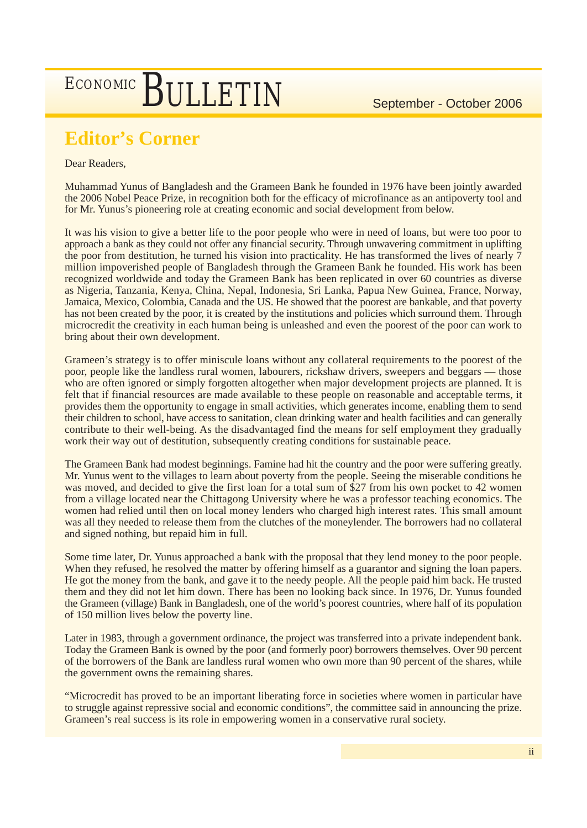### **Editor's Corner**

### Dear Readers,

Muhammad Yunus of Bangladesh and the Grameen Bank he founded in 1976 have been jointly awarded the 2006 Nobel Peace Prize, in recognition both for the efficacy of microfinance as an antipoverty tool and for Mr. Yunus's pioneering role at creating economic and social development from below.

It was his vision to give a better life to the poor people who were in need of loans, but were too poor to approach a bank as they could not offer any financial security. Through unwavering commitment in uplifting the poor from destitution, he turned his vision into practicality. He has transformed the lives of nearly 7 million impoverished people of Bangladesh through the Grameen Bank he founded. His work has been recognized worldwide and today the Grameen Bank has been replicated in over 60 countries as diverse as Nigeria, Tanzania, Kenya, China, Nepal, Indonesia, Sri Lanka, Papua New Guinea, France, Norway, Jamaica, Mexico, Colombia, Canada and the US. He showed that the poorest are bankable, and that poverty has not been created by the poor, it is created by the institutions and policies which surround them. Through microcredit the creativity in each human being is unleashed and even the poorest of the poor can work to bring about their own development.

Grameen's strategy is to offer miniscule loans without any collateral requirements to the poorest of the poor, people like the landless rural women, labourers, rickshaw drivers, sweepers and beggars –– those who are often ignored or simply forgotten altogether when major development projects are planned. It is felt that if financial resources are made available to these people on reasonable and acceptable terms, it provides them the opportunity to engage in small activities, which generates income, enabling them to send their children to school, have access to sanitation, clean drinking water and health facilities and can generally contribute to their well-being. As the disadvantaged find the means for self employment they gradually work their way out of destitution, subsequently creating conditions for sustainable peace.

The Grameen Bank had modest beginnings. Famine had hit the country and the poor were suffering greatly. Mr. Yunus went to the villages to learn about poverty from the people. Seeing the miserable conditions he was moved, and decided to give the first loan for a total sum of \$27 from his own pocket to 42 women from a village located near the Chittagong University where he was a professor teaching economics. The women had relied until then on local money lenders who charged high interest rates. This small amount was all they needed to release them from the clutches of the moneylender. The borrowers had no collateral and signed nothing, but repaid him in full.

Some time later, Dr. Yunus approached a bank with the proposal that they lend money to the poor people. When they refused, he resolved the matter by offering himself as a guarantor and signing the loan papers. He got the money from the bank, and gave it to the needy people. All the people paid him back. He trusted them and they did not let him down. There has been no looking back since. In 1976, Dr. Yunus founded the Grameen (village) Bank in Bangladesh, one of the world's poorest countries, where half of its population of 150 million lives below the poverty line.

Later in 1983, through a government ordinance, the project was transferred into a private independent bank. Today the Grameen Bank is owned by the poor (and formerly poor) borrowers themselves. Over 90 percent of the borrowers of the Bank are landless rural women who own more than 90 percent of the shares, while the government owns the remaining shares.

"Microcredit has proved to be an important liberating force in societies where women in particular have to struggle against repressive social and economic conditions", the committee said in announcing the prize. Grameen's real success is its role in empowering women in a conservative rural society.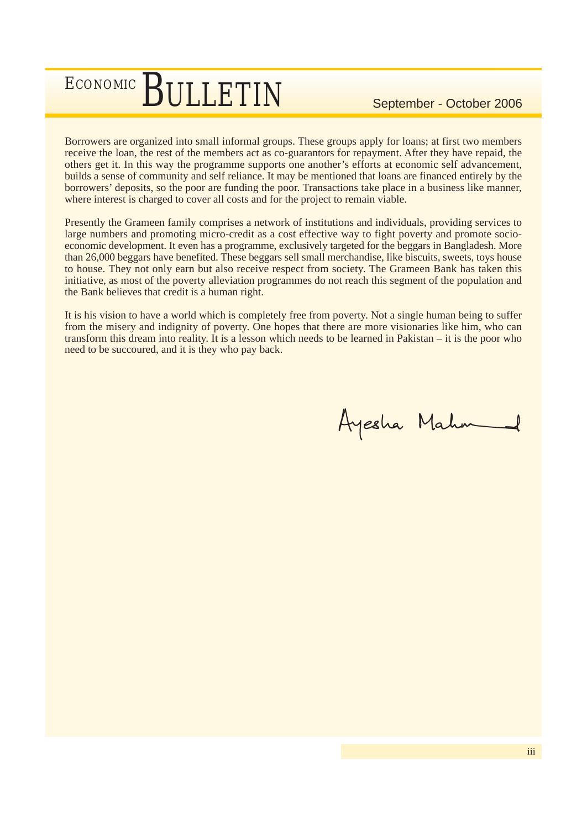Borrowers are organized into small informal groups. These groups apply for loans; at first two members receive the loan, the rest of the members act as co-guarantors for repayment. After they have repaid, the others get it. In this way the programme supports one another's efforts at economic self advancement, builds a sense of community and self reliance. It may be mentioned that loans are financed entirely by the borrowers' deposits, so the poor are funding the poor. Transactions take place in a business like manner, where interest is charged to cover all costs and for the project to remain viable.

Presently the Grameen family comprises a network of institutions and individuals, providing services to large numbers and promoting micro-credit as a cost effective way to fight poverty and promote socioeconomic development. It even has a programme, exclusively targeted for the beggars in Bangladesh. More than 26,000 beggars have benefited. These beggars sell small merchandise, like biscuits, sweets, toys house to house. They not only earn but also receive respect from society. The Grameen Bank has taken this initiative, as most of the poverty alleviation programmes do not reach this segment of the population and the Bank believes that credit is a human right.

It is his vision to have a world which is completely free from poverty. Not a single human being to suffer from the misery and indignity of poverty. One hopes that there are more visionaries like him, who can transform this dream into reality. It is a lesson which needs to be learned in Pakistan – it is the poor who need to be succoured, and it is they who pay back.

Ayesha Mahn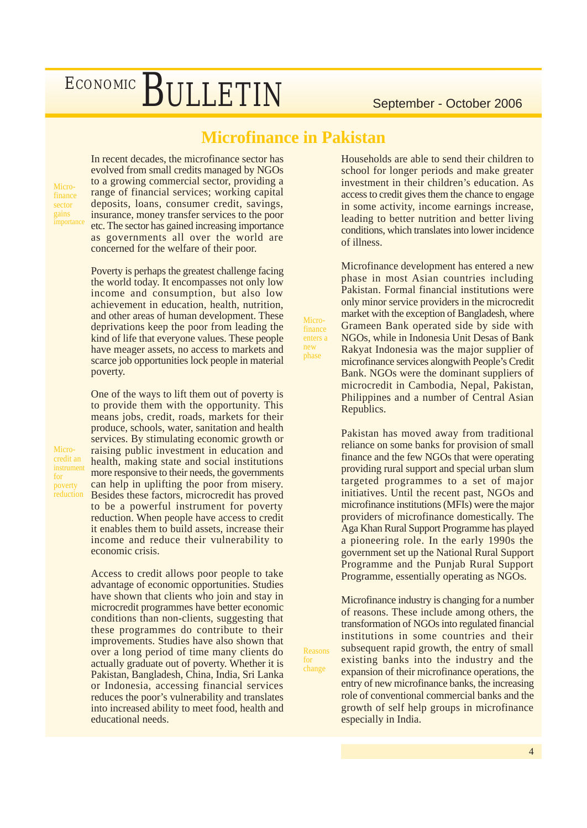### **Microfinance in Pakistan**

Microfinance enters a new phase

Reasons for change

Microfinance sector gains

Microcredit an instrument for poverty reduction In recent decades, the microfinance sector has evolved from small credits managed by NGOs to a growing commercial sector, providing a range of financial services; working capital deposits, loans, consumer credit, savings, insurance, money transfer services to the poor etc. The sector has gained increasing importance as governments all over the world are concerned for the welfare of their poor.

Poverty is perhaps the greatest challenge facing the world today. It encompasses not only low income and consumption, but also low achievement in education, health, nutrition, and other areas of human development. These deprivations keep the poor from leading the kind of life that everyone values. These people have meager assets, no access to markets and scarce job opportunities lock people in material poverty.

One of the ways to lift them out of poverty is to provide them with the opportunity. This means jobs, credit, roads, markets for their produce, schools, water, sanitation and health services. By stimulating economic growth or raising public investment in education and health, making state and social institutions more responsive to their needs, the governments can help in uplifting the poor from misery. Besides these factors, microcredit has proved to be a powerful instrument for poverty reduction. When people have access to credit it enables them to build assets, increase their income and reduce their vulnerability to economic crisis.

Access to credit allows poor people to take advantage of economic opportunities. Studies have shown that clients who join and stay in microcredit programmes have better economic conditions than non-clients, suggesting that these programmes do contribute to their improvements. Studies have also shown that over a long period of time many clients do actually graduate out of poverty. Whether it is Pakistan, Bangladesh, China, India, Sri Lanka or Indonesia, accessing financial services reduces the poor's vulnerability and translates into increased ability to meet food, health and educational needs.

Households are able to send their children to school for longer periods and make greater investment in their children's education. As access to credit gives them the chance to engage in some activity, income earnings increase, leading to better nutrition and better living conditions, which translates into lower incidence of illness.

Microfinance development has entered a new phase in most Asian countries including Pakistan. Formal financial institutions were only minor service providers in the microcredit market with the exception of Bangladesh, where Grameen Bank operated side by side with NGOs, while in Indonesia Unit Desas of Bank Rakyat Indonesia was the major supplier of microfinance services alongwith People's Credit Bank. NGOs were the dominant suppliers of microcredit in Cambodia, Nepal, Pakistan, Philippines and a number of Central Asian Republics.

Pakistan has moved away from traditional reliance on some banks for provision of small finance and the few NGOs that were operating providing rural support and special urban slum targeted programmes to a set of major initiatives. Until the recent past, NGOs and microfinance institutions (MFIs) were the major providers of microfinance domestically. The Aga Khan Rural Support Programme has played a pioneering role. In the early 1990s the government set up the National Rural Support Programme and the Punjab Rural Support Programme, essentially operating as NGOs.

Microfinance industry is changing for a number of reasons. These include among others, the transformation of NGOs into regulated financial institutions in some countries and their subsequent rapid growth, the entry of small existing banks into the industry and the expansion of their microfinance operations, the entry of new microfinance banks, the increasing role of conventional commercial banks and the growth of self help groups in microfinance especially in India.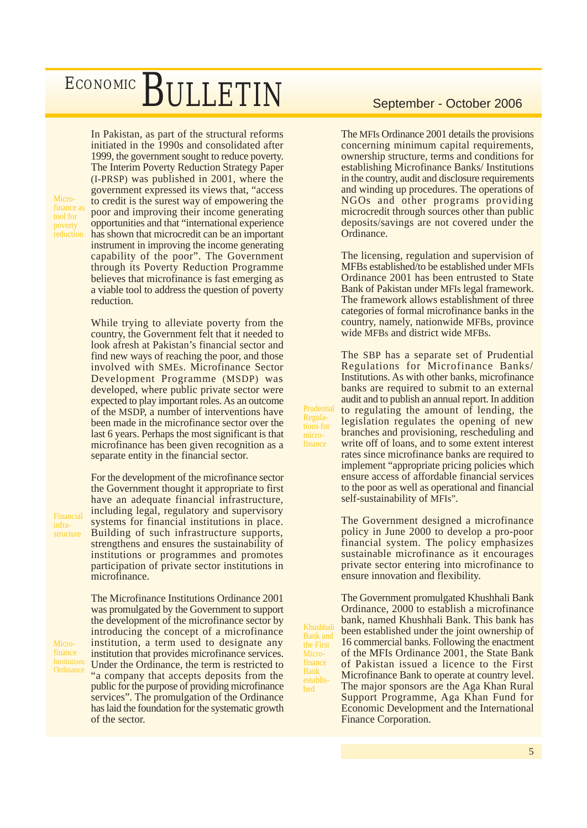Microfinance a tool for poverty **reduction**  In Pakistan, as part of the structural reforms initiated in the 1990s and consolidated after 1999, the government sought to reduce poverty. The Interim Poverty Reduction Strategy Paper (I-PRSP) was published in 2001, where the government expressed its views that, "access to credit is the surest way of empowering the poor and improving their income generating opportunities and that "international experience has shown that microcredit can be an important instrument in improving the income generating capability of the poor". The Government through its Poverty Reduction Programme believes that microfinance is fast emerging as a viable tool to address the question of poverty reduction.

While trying to alleviate poverty from the country, the Government felt that it needed to look afresh at Pakistan's financial sector and find new ways of reaching the poor, and those involved with SMEs. Microfinance Sector Development Programme (MSDP) was developed, where public private sector were expected to play important roles. As an outcome of the MSDP, a number of interventions have been made in the microfinance sector over the last 6 years. Perhaps the most significant is that microfinance has been given recognition as a separate entity in the financial sector.

For the development of the microfinance sector the Government thought it appropriate to first have an adequate financial infrastructure, including legal, regulatory and supervisory systems for financial institutions in place. Building of such infrastructure supports, strengthens and ensures the sustainability of institutions or programmes and promotes participation of private sector institutions in microfinance.

The Microfinance Institutions Ordinance 2001 was promulgated by the Government to support the development of the microfinance sector by introducing the concept of a microfinance institution, a term used to designate any institution that provides microfinance services. Under the Ordinance, the term is restricted to "a company that accepts deposits from the public for the purpose of providing microfinance services". The promulgation of the Ordinance has laid the foundation for the systematic growth of the sector.

The MFIs Ordinance 2001 details the provisions concerning minimum capital requirements, ownership structure, terms and conditions for establishing Microfinance Banks/ Institutions in the country, audit and disclosure requirements and winding up procedures. The operations of NGOs and other programs providing microcredit through sources other than public deposits/savings are not covered under the Ordinance.

The licensing, regulation and supervision of MFBs established/to be established under MFIs Ordinance 2001 has been entrusted to State Bank of Pakistan under MFIs legal framework. The framework allows establishment of three categories of formal microfinance banks in the country, namely, nationwide MFBs, province wide MFBs and district wide MFBs.

The SBP has a separate set of Prudential Regulations for Microfinance Banks/ Institutions. As with other banks, microfinance banks are required to submit to an external audit and to publish an annual report. In addition to regulating the amount of lending, the legislation regulates the opening of new branches and provisioning, rescheduling and write off of loans, and to some extent interest rates since microfinance banks are required to implement "appropriate pricing policies which ensure access of affordable financial services to the poor as well as operational and financial self-sustainability of MFIs".

The Government designed a microfinance policy in June 2000 to develop a pro-poor financial system. The policy emphasizes sustainable microfinance as it encourages private sector entering into microfinance to ensure innovation and flexibility.

The Government promulgated Khushhali Bank Ordinance, 2000 to establish a microfinance bank, named Khushhali Bank. This bank has been established under the joint ownership of 16 commercial banks. Following the enactment of the MFIs Ordinance 2001, the State Bank of Pakistan issued a licence to the First Microfinance Bank to operate at country level. The major sponsors are the Aga Khan Rural Support Programme, Aga Khan Fund for Economic Development and the International Finance Corporation.

Khushhali Bank and the First Microfinance Bank established

Prudential Regulations for microfinance

Financial infrastructure

Microfinance Institutions **Ordinance**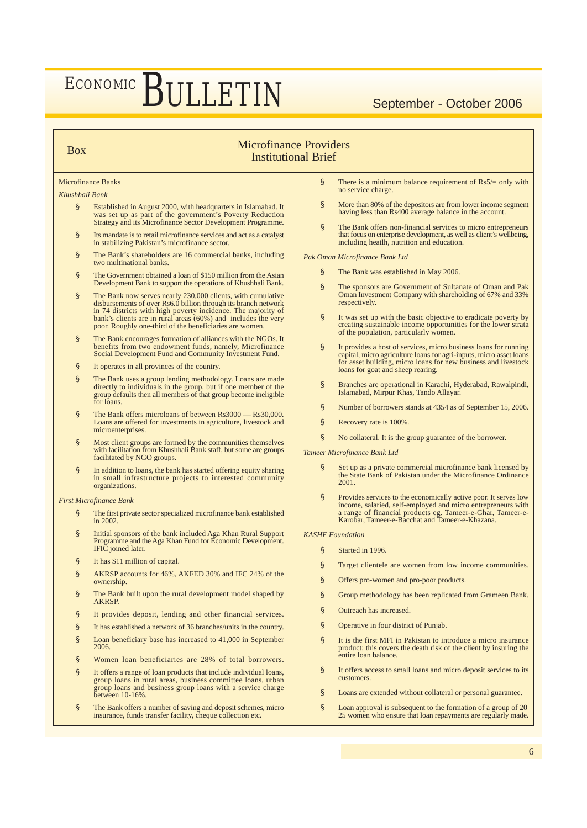### Microfinance Providers Institutional Brief

### Microfinance Banks

### *Khushhali Bank*

Box

- § Established in August 2000, with headquarters in Islamabad. It was set up as part of the government's Poverty Reduction Strategy and its Microfinance Sector Development Programme.
- § Its mandate is to retail microfinance services and act as a catalyst in stabilizing Pakistan's microfinance sector.
- § The Bank's shareholders are 16 commercial banks, including two multinational banks.
- § The Government obtained a loan of \$150 million from the Asian Development Bank to support the operations of Khushhali Bank.
- § The Bank now serves nearly 230,000 clients, with cumulative disbursements of over Rs6.0 billion through its branch network in 74 districts with high poverty incidence. The majority of bank's clients are in rural areas (60%) and includes the very poor. Roughly one-third of the beneficiaries are women.
- § The Bank encourages formation of alliances with the NGOs. It benefits from two endowment funds, namely, Microfinance Social Development Fund and Community Investment Fund.
- § It operates in all provinces of the country.
- § The Bank uses a group lending methodology. Loans are made directly to individuals in the group, but if one member of the group defaults then all members of that group become ineligible for loans.
- § The Bank offers microloans of between Rs3000 Rs30,000. Loans are offered for investments in agriculture, livestock and microenterprises.
- § Most client groups are formed by the communities themselves with facilitation from Khushhali Bank staff, but some are groups facilitated by NGO groups.
- § In addition to loans, the bank has started offering equity sharing<br>in small infrastructure projects to interested community organizations.

*First Microfinance Bank*

- § The first private sector specialized microfinance bank established in 2002.
- § Initial sponsors of the bank included Aga Khan Rural Support Programme and the Aga Khan Fund for Economic Development. IFIC joined later.
- § It has \$11 million of capital.
- § AKRSP accounts for 46%, AKFED 30% and IFC 24% of the ownership.
- § The Bank built upon the rural development model shaped by AKRSP.
- § It provides deposit, lending and other financial services.
- § It has established a network of 36 branches/units in the country.
- § Loan beneficiary base has increased to 41,000 in September 2006.
- § Women loan beneficiaries are 28% of total borrowers.
- § It offers a range of loan products that include individual loans, group loans in rural areas, business committee loans, urban group loans and business group loans with a service charge between 10-16%.
- § The Bank offers a number of saving and deposit schemes, micro insurance, funds transfer facility, cheque collection etc.
- § There is a minimum balance requirement of  $\text{Rs}5/=\text{only with}$ no service charge.
- § More than 80% of the depositors are from lower income segment having less than Rs400 average balance in the account.
- § The Bank offers non-financial services to micro entrepreneurs that focus on enterprise development, as well as client's wellbeing, including heatlh, nutrition and education.

*Pak Oman Microfinance Bank Ltd*

- § The Bank was established in May 2006.
- § The sponsors are Government of Sultanate of Oman and Pak Oman Investment Company with shareholding of 67% and 33% respectively.
- § It was set up with the basic objective to eradicate poverty by creating sustainable income opportunities for the lower strata of the population, particularly women.
- § It provides a host of services, micro business loans for running capital, micro agriculture loans for agri-inputs, micro asset loans for asset building, micro loans for new business and livestock loans for goat and sheep rearing.
- § Branches are operational in Karachi, Hyderabad, Rawalpindi, Islamabad, Mirpur Khas, Tando Allayar.
- § Number of borrowers stands at 4354 as of September 15, 2006.
- § Recovery rate is 100%.
- § No collateral. It is the group guarantee of the borrower.

*Tameer Microfinance Bank Ltd*

- § Set up as a private commercial microfinance bank licensed by the State Bank of Pakistan under the Microfinance Ordinance 2001.
- § Provides services to the economically active poor. It serves low income, salaried, self-employed and micro entrepreneurs with a range of financial products eg. Tameer-e-Ghar, Tameer-e-<br>Karobar, Tameer-e-Bacchat and Tameer-e-Khazana.

*KASHF Foundation*

- § Started in 1996.
- § Target clientele are women from low income communities.
- § Offers pro-women and pro-poor products.
- § Group methodology has been replicated from Grameen Bank.
- § Outreach has increased.
- § Operative in four district of Punjab.
- § It is the first MFI in Pakistan to introduce a micro insurance product; this covers the death risk of the client by insuring the entire loan balance.
- § It offers access to small loans and micro deposit services to its customers.
- § Loans are extended without collateral or personal guarantee.
- § Loan approval is subsequent to the formation of a group of 20 25 women who ensure that loan repayments are regularly made.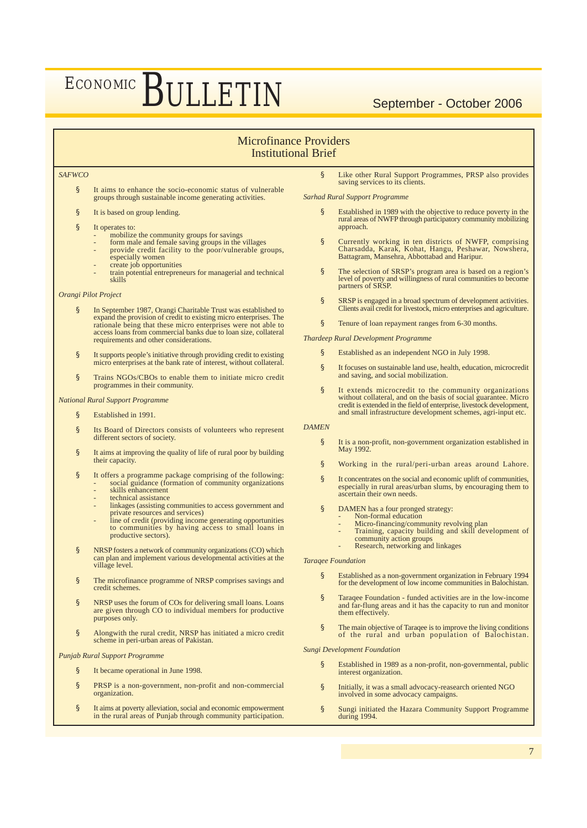### Microfinance Providers Institutional Brief

### *SAFWCO*

§ It aims to enhance the socio-economic status of vulnerable groups through sustainable income generating activities.

- § It is based on group lending.
- § It operates to:
	- mobilize the community groups for savings
	- form male and female saving groups in the villages<br>- provide credit facility to the poor/vulnerable groups,
	- especially women create job opportunities
	- train potential entrepreneurs for managerial and technical skills

### *Orangi Pilot Project*

- § In September 1987, Orangi Charitable Trust was established to expand the provision of credit to existing micro enterprises. The rationale being that these micro enterprises were not able to access loans from commercial banks due to loan size, collateral requirements and other considerations.
- § It supports people's initiative through providing credit to existing micro enterprises at the bank rate of interest, without collateral.
- § Trains NGOs/CBOs to enable them to initiate micro credit programmes in their community.

### *National Rural Support Programme*

- § Established in 1991.
- § Its Board of Directors consists of volunteers who represent different sectors of society.
- § It aims at improving the quality of life of rural poor by building their capacity.
- § It offers a programme package comprising of the following: social guidance (formation of community organizations
	- skills enhancement technical assistance
	- linkages (assisting communities to access government and
	- private resources and services)
	- line of credit (providing income generating opportunities to communities by having access to small loans in productive sectors).
- § NRSP fosters a network of community organizations (CO) which can plan and implement various developmental activities at the village level.
- § The microfinance programme of NRSP comprises savings and credit schemes.
- § NRSP uses the forum of COs for delivering small loans. Loans are given through CO to individual members for productive purposes only.
- § Alongwith the rural credit, NRSP has initiated a micro credit scheme in peri-urban areas of Pakistan.

*Punjab Rural Support Programme*

- § It became operational in June 1998.
- § PRSP is a non-government, non-profit and non-commercial organization.
- § It aims at poverty alleviation, social and economic empowerment<br>in the rural areas of Punjab through community participation.

Like other Rural Support Programmes, PRSP also provides saving services to its clients.

*Sarhad Rural Support Programme*

- Established in 1989 with the objective to reduce poverty in the rural areas of NWFP through participatory community mobilizing approach.
- § Currently working in ten districts of NWFP, comprising Charsadda, Karak, Kohat, Hangu, Peshawar, Nowshera, Battagram, Mansehra, Abbottabad and Haripur.
- § The selection of SRSP's program area is based on a region's level of poverty and willingness of rural communities to become partners of SRSP.
- § SRSP is engaged in a broad spectrum of development activities. Clients avail credit for livestock, micro enterprises and agriculture.
- § Tenure of loan repayment ranges from 6-30 months.

*Thardeep Rural Development Programme*

- § Established as an independent NGO in July 1998.
- § It focuses on sustainable land use, health, education, microcredit and saving, and social mobilization.
- § It extends microcredit to the community organizations without collateral, and on the basis of social guarantee. Micro credit is extended in the field of enterprise, livestock development, and small infrastructure development schemes, agri-input etc.

*DAMEN*

- § It is a non-profit, non-government organization established in May 1992.
- § Working in the rural/peri-urban areas around Lahore.
- § It concentrates on the social and economic uplift of communities, especially in rural areas/urban slums, by encouraging them to ascertain their own needs.
- § DAMEN has a four pronged strategy:
	- Non-formal education
	- Micro-financing/community revolving plan<br>- Training, capacity building and skill development of community action groups
	-
	- Research, networking and linkages

### *Taraqee Foundation*

- § Established as a non-government organization in February 1994 for the development of low income communities in Balochistan.
- § Taraqee Foundation funded activities are in the low-income and far-flung areas and it has the capacity to run and monitor them effectively.
- § The main objective of Taraqee is to improve the living conditions of the rural and urban population of Balochistan.

### *Sungi Development Foundation*

- § Established in 1989 as a non-profit, non-governmental, public interest organization.
- § Initially, it was a small advocacy-reasearch oriented NGO involved in some advocacy campaigns.
- § Sungi initiated the Hazara Community Support Programme during 1994.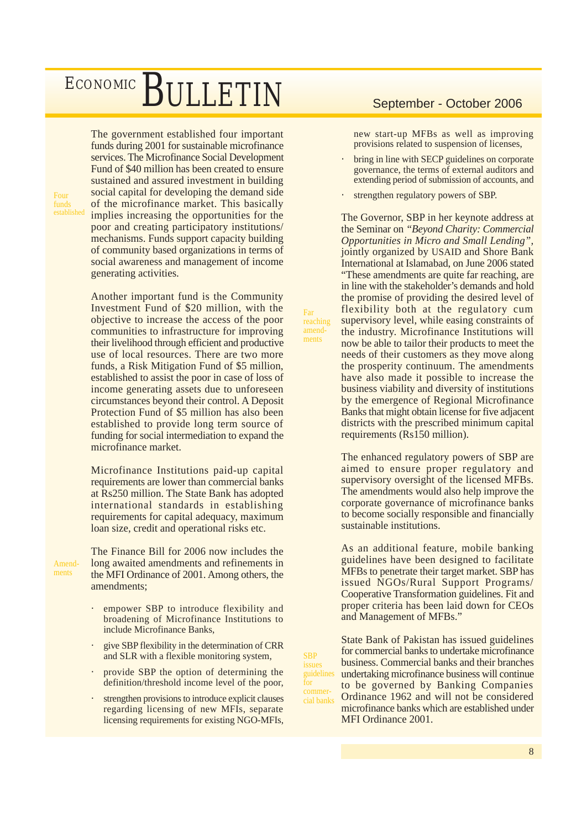The government established four important funds during 2001 for sustainable microfinance services. The Microfinance Social Development Fund of \$40 million has been created to ensure sustained and assured investment in building social capital for developing the demand side of the microfinance market. This basically implies increasing the opportunities for the poor and creating participatory institutions/ mechanisms. Funds support capacity building of community based organizations in terms of social awareness and management of income generating activities.

Another important fund is the Community Investment Fund of \$20 million, with the objective to increase the access of the poor communities to infrastructure for improving their livelihood through efficient and productive use of local resources. There are two more funds, a Risk Mitigation Fund of \$5 million, established to assist the poor in case of loss of income generating assets due to unforeseen circumstances beyond their control. A Deposit Protection Fund of \$5 million has also been established to provide long term source of funding for social intermediation to expand the microfinance market.

Microfinance Institutions paid-up capital requirements are lower than commercial banks at Rs250 million. The State Bank has adopted international standards in establishing requirements for capital adequacy, maximum loan size, credit and operational risks etc.

Amendments

Four funds

> The Finance Bill for 2006 now includes the long awaited amendments and refinements in the MFI Ordinance of 2001. Among others, the amendments;

- empower SBP to introduce flexibility and broadening of Microfinance Institutions to include Microfinance Banks,
- give SBP flexibility in the determination of CRR and SLR with a flexible monitoring system,
- provide SBP the option of determining the definition/threshold income level of the poor,
- strengthen provisions to introduce explicit clauses regarding licensing of new MFIs, separate licensing requirements for existing NGO-MFIs,

new start-up MFBs as well as improving provisions related to suspension of licenses,

- bring in line with SECP guidelines on corporate governance, the terms of external auditors and extending period of submission of accounts, and
- strengthen regulatory powers of SBP.

The Governor, SBP in her keynote address at the Seminar on *"Beyond Charity: Commercial Opportunities in Micro and Small Lending",*  jointly organized by USAID and Shore Bank International at Islamabad, on June 2006 stated "These amendments are quite far reaching, are in line with the stakeholder's demands and hold the promise of providing the desired level of flexibility both at the regulatory cum supervisory level, while easing constraints of the industry. Microfinance Institutions will now be able to tailor their products to meet the needs of their customers as they move along the prosperity continuum. The amendments have also made it possible to increase the business viability and diversity of institutions by the emergence of Regional Microfinance Banks that might obtain license for five adjacent districts with the prescribed minimum capital requirements (Rs150 million).

Far reaching amendments

SBP issues

for commerThe enhanced regulatory powers of SBP are aimed to ensure proper regulatory and supervisory oversight of the licensed MFBs. The amendments would also help improve the corporate governance of microfinance banks to become socially responsible and financially sustainable institutions.

As an additional feature, mobile banking guidelines have been designed to facilitate MFBs to penetrate their target market. SBP has issued NGOs/Rural Support Programs/ Cooperative Transformation guidelines. Fit and proper criteria has been laid down for CEOs and Management of MFBs."

State Bank of Pakistan has issued guidelines for commercial banks to undertake microfinance business. Commercial banks and their branches undertaking microfinance business will continue to be governed by Banking Companies Ordinance 1962 and will not be considered microfinance banks which are established under MFI Ordinance 2001. guidelines cial banks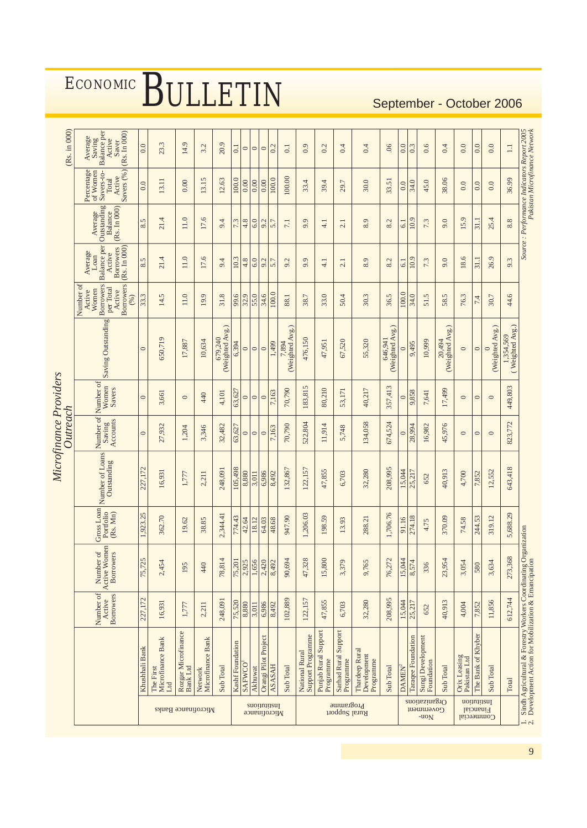|                                                 |                                                                                                             |                                  |                                        |                                     |                                | Microfinance Providers<br>Outreach |                              |                               |                                                                                                                                              |                                                                                                                                             |                                                                              |                                                                       | (Rs. in 000)                                                        |
|-------------------------------------------------|-------------------------------------------------------------------------------------------------------------|----------------------------------|----------------------------------------|-------------------------------------|--------------------------------|------------------------------------|------------------------------|-------------------------------|----------------------------------------------------------------------------------------------------------------------------------------------|---------------------------------------------------------------------------------------------------------------------------------------------|------------------------------------------------------------------------------|-----------------------------------------------------------------------|---------------------------------------------------------------------|
|                                                 |                                                                                                             | Number of<br>Borrowers<br>Active | Active Women<br>Number of<br>Borrowers | Gross Loan<br>Portfolio<br>(Rs. Mn) | Number of Loans<br>Outstanding | Number of<br>Saving<br>Accounts    | Number of<br>Women<br>Savers | Saving Outstanding            | $\begin{array}{c c}\n\text{Active} \\ \hline\n\text{Borrows} \\ (96)\n\end{array}$<br>Active<br>Women<br>Borrowers<br>Number of<br>per Total | Loan<br>Balance per<br>$\begin{array}{ l } \hline \text{Borrows} \\ \hline \text{Rs.\ In\ 000)} \\ \hline \end{array}$<br>Average<br>Active | Outstanding<br>(Rs. In 000)<br>Average<br>Balance                            | Active<br>Savers (%)<br>Percentage<br>of Women<br>Savers-to-<br>Total | Average<br>Saving<br>Balance per<br>(Rs. In 000)<br>Active<br>Saver |
|                                                 | Khushhali Bank                                                                                              | 227,172                          | 75,725                                 | 1,923.25                            | 227,172                        | $\circ$                            | $\circ$                      | $\circ$                       | 33.3                                                                                                                                         | 8.5                                                                                                                                         | 8.5                                                                          | 0.0                                                                   | 0.0                                                                 |
| Microfinance Banks                              | Microfinance Bank<br>The First<br>$_{\rm Lrd}$                                                              | 16,931                           | 2,454                                  | 362.70                              | 16,931                         | 27,932                             | 3,661                        | 650,719                       | 14.5                                                                                                                                         | 21.4                                                                                                                                        | 21.4                                                                         | 13.11                                                                 | 23.3                                                                |
|                                                 | Rozgar Microfinance<br><b>Bank</b> Ltd                                                                      | 1,777                            | 195                                    | 19.62                               | 1,777                          | 1,204                              | $\circ$                      | 17,887                        | 11.0                                                                                                                                         | 11.0                                                                                                                                        | $11.0$                                                                       | $0.00$                                                                | 14.9                                                                |
|                                                 | Microfinance Bank<br>Network                                                                                | 2,211                            | 440                                    | 38.85                               | 2,211                          | 3,346                              | 440                          | 10,634                        | 19.9                                                                                                                                         | 17.6                                                                                                                                        | 17.6                                                                         | 13.15                                                                 | 3.2                                                                 |
|                                                 | Sub Total                                                                                                   | 248,091                          | 78,814                                 | 2,344.41                            | 248,091                        | 32,482                             | 4,101                        | (Weighted Avg.)<br>679,240    | 31.8                                                                                                                                         | 9.4                                                                                                                                         | 9.4                                                                          | 12.63                                                                 | 20.9                                                                |
|                                                 | Kashf Foundation                                                                                            | 75,520                           | 75,201                                 | 774.43                              | 105,498                        | 63,627                             | 63,627                       | 6,394                         | 99.6                                                                                                                                         | 10.3                                                                                                                                        | 7.3                                                                          | 100.0                                                                 | 0.1                                                                 |
|                                                 | SAFWCO                                                                                                      | 8,880                            | 2,925                                  | 42.64                               | 8,880                          | $\circ$                            | $\circ$                      | $\circ$                       | 32.9                                                                                                                                         | 4.8                                                                                                                                         | 4.8                                                                          | 0.00                                                                  | $\circ$                                                             |
|                                                 | Akhuwat                                                                                                     | 3,011                            | 1,656                                  | 18.12                               | 3,011                          | $\circ$                            | $\circ$                      | $\circ$                       | 55.0                                                                                                                                         | 6.0                                                                                                                                         | 6.0                                                                          | 0.00                                                                  | $\circ$                                                             |
| <i>suoimiisul</i><br>Microfinance               | Orangi Pilot Project                                                                                        | 6,986                            | 2,420                                  | 64.03                               | 6,986                          | $\circ$                            | $\circ$                      | $\circ$                       | 34.6                                                                                                                                         | 9.2                                                                                                                                         | 9.2                                                                          | $\overline{0.00}$                                                     | $\circ$                                                             |
|                                                 | <b>ASASAH</b>                                                                                               | 8,492                            | 8,492                                  | 48.68                               | 8,492                          | 7,163                              | 7,163                        | 1,499                         | 100.0                                                                                                                                        | 5.7                                                                                                                                         | 5.7                                                                          | 100.0                                                                 | 0.2                                                                 |
|                                                 | Sub Total                                                                                                   | 102,889                          | 90,694                                 | 947.90                              | 132,867                        | 70,790                             | 70,790                       | (Weighted Avg.)<br>,894       | 88.1                                                                                                                                         | 9.2                                                                                                                                         | 7.1                                                                          | 100.00                                                                | 0.1                                                                 |
|                                                 | National Rural<br>Support Programme                                                                         | 122,157                          | 47,328                                 | 1,206.03                            | 122,157                        | 522,804                            | 183,815                      | 476,150                       | 38.7                                                                                                                                         | 9.9                                                                                                                                         | 9.9                                                                          | 33.4                                                                  | 0.9                                                                 |
|                                                 | Punjab Rural Support<br>Programme                                                                           | 47,855                           | 15,800                                 | 198.59                              | 47,855                         | 11,914                             | 80,210                       | 47,951                        | 33.0                                                                                                                                         | $-1$                                                                                                                                        | 4.1                                                                          | 39.4                                                                  | 0.2                                                                 |
| Programme<br>Rural Support                      | Sarhad Rural Support<br>Programme                                                                           | 6,703                            | 3,379                                  | 13.93                               | 6,703                          | 5,748                              | 53,171                       | 67,520                        | 50.4                                                                                                                                         | 2.1                                                                                                                                         | 2.1                                                                          | 29.7                                                                  | 0.4                                                                 |
|                                                 | Thardeep Rural<br>Development<br>Programme                                                                  | 32,280                           | 9,765                                  | 288.21                              | 32,280                         | 134,058                            | 40,217                       | 55,320                        | 30.3                                                                                                                                         | 8.9                                                                                                                                         | 8.9                                                                          | 30.0                                                                  | 0.4                                                                 |
|                                                 | Sub Total                                                                                                   | 208,995                          | 76,272                                 | 1,706.76                            | 208,995                        | 674,524                            | 357,413                      | $646,941$ (Weighted Avg.)     | 36.5                                                                                                                                         | 8.2                                                                                                                                         | $\dot{c}$<br>$\infty$                                                        | 33.51                                                                 | 06                                                                  |
|                                                 | DAMEN <sup>2</sup>                                                                                          | 15,044                           | 15,044                                 | 91.16                               | 15,044                         | $\circ$                            | $\circ$                      | $\circ$                       | 100.0                                                                                                                                        | 61                                                                                                                                          | 61                                                                           | $\overline{0.0}$                                                      | 0.0                                                                 |
|                                                 | Taraqee Foundation                                                                                          | 25,217                           | 8,574                                  | 274.18                              | 25,217                         | 28,994                             | 9,858                        | 9,495                         | 34.0                                                                                                                                         | 10.9                                                                                                                                        | 10.9                                                                         | 34.0                                                                  | 0.3                                                                 |
| Organizations<br>Government<br>-uo <sub>N</sub> | Sungi Development<br>Foundation                                                                             | 652                              | 336                                    | 4.75                                | 652                            | 16,982                             | 7,641                        | 10,999                        | 51.5                                                                                                                                         | 7.3                                                                                                                                         | 7.3                                                                          | 45.0                                                                  | 0.6                                                                 |
|                                                 | Sub Total                                                                                                   | 40,913                           | 23,954                                 | 370.09                              | 40,913                         | 45,976                             | 17,499                       | $20,494$ (Weighted Avg.)      | 58.5                                                                                                                                         | 9.0                                                                                                                                         | 9.0                                                                          | 38.06                                                                 | 0.4                                                                 |
| Commercial                                      | Orix Leasing<br>Pakistan Ltd                                                                                | 4,004                            | 3,054                                  | 74.58                               | 4,700                          | $\circ$                            | $\circ$                      | $\circ$                       | 76.3                                                                                                                                         | 18.6                                                                                                                                        | 15.9                                                                         | 0.0                                                                   | 0.0                                                                 |
| Institution<br>Financial                        | The Bank of Khyber                                                                                          | 7,852                            | 580                                    | 244.53                              | 7,852                          | $\circ$                            | $\circ$                      | $\circ$                       | $7.4$                                                                                                                                        | 31.1                                                                                                                                        | 31.1                                                                         | 0.0                                                                   | 0.0                                                                 |
|                                                 | Sub Total                                                                                                   | 11,856                           | 3,634                                  | 319.12                              | 12,552                         | $\circ$                            | $\circ$                      | (Weighted Avg.)<br>$\circ$    | 30.7                                                                                                                                         | 26.9                                                                                                                                        | 25.4                                                                         | 0.0                                                                   | 0.0                                                                 |
|                                                 | Total                                                                                                       | 612,744                          | 273,368                                | 5,688.29                            | 643,418                        | 823,772                            | 449,803                      | 1,354,569<br>( Weighted Avg.) | 44.6                                                                                                                                         | 9.3                                                                                                                                         | 8.8                                                                          | 36.99                                                                 | $\Box$                                                              |
| $\frac{1}{2}$                                   | Sindh Agricultural & Forestry Workers Coordinating Or<br>Development Action for Mobilization & Emancipation |                                  |                                        | ganization                          |                                |                                    |                              |                               |                                                                                                                                              |                                                                                                                                             | Source : Performance Indicators Report 2005<br>Pakistan Microfinance Network |                                                                       |                                                                     |

9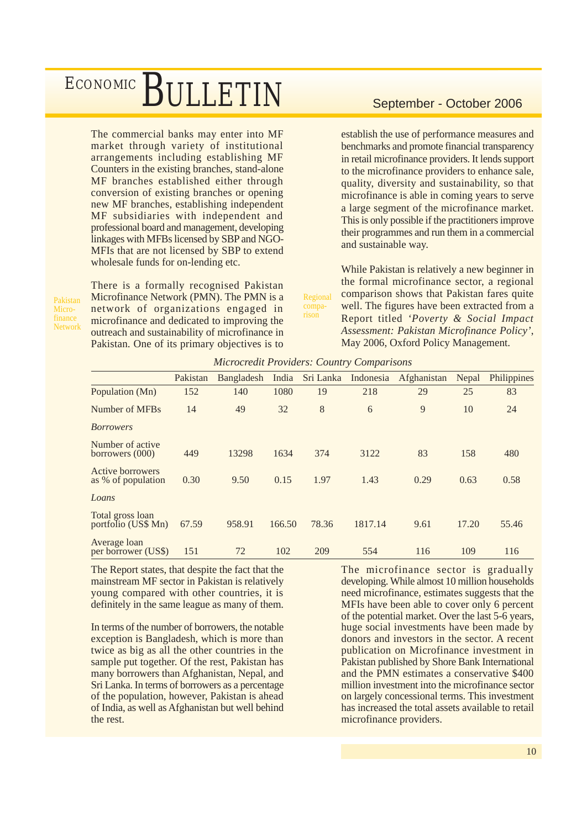The commercial banks may enter into MF market through variety of institutional arrangements including establishing MF Counters in the existing branches, stand-alone MF branches established either through conversion of existing branches or opening new MF branches, establishing independent MF subsidiaries with independent and professional board and management, developing linkages with MFBs licensed by SBP and NGO-MFIs that are not licensed by SBP to extend wholesale funds for on-lending etc.

Pakistan Microfinance **Network**  There is a formally recognised Pakistan Microfinance Network (PMN). The PMN is a network of organizations engaged in microfinance and dedicated to improving the outreach and sustainability of microfinance in Pakistan. One of its primary objectives is to

establish the use of performance measures and benchmarks and promote financial transparency in retail microfinance providers. It lends support to the microfinance providers to enhance sale, quality, diversity and sustainability, so that microfinance is able in coming years to serve a large segment of the microfinance market. This is only possible if the practitioners improve their programmes and run them in a commercial and sustainable way.

While Pakistan is relatively a new beginner in the formal microfinance sector, a regional comparison shows that Pakistan fares quite well. The figures have been extracted from a Report titled *'Poverty & Social Impact Assessment: Pakistan Microfinance Policy'*, May 2006, Oxford Policy Management.

| <b>Microcredit Providers: Country Comparisons</b> |  |  |  |
|---------------------------------------------------|--|--|--|
|                                                   |  |  |  |

Regional comparison

|                                         | Pakistan | Bangladesh | India  | Sri Lanka | Indonesia | Afghanistan | Nepal | Philippines |
|-----------------------------------------|----------|------------|--------|-----------|-----------|-------------|-------|-------------|
| Population (Mn)                         | 152      | 140        | 1080   | 19        | 218       | 29          | 25    | 83          |
| Number of MFBs                          | 14       | 49         | 32     | 8         | 6         | 9           | 10    | 24          |
| <b>Borrowers</b>                        |          |            |        |           |           |             |       |             |
| Number of active<br>borrowers (000)     | 449      | 13298      | 1634   | 374       | 3122      | 83          | 158   | 480         |
| Active borrowers<br>as % of population  | 0.30     | 9.50       | 0.15   | 1.97      | 1.43      | 0.29        | 0.63  | 0.58        |
| Loans                                   |          |            |        |           |           |             |       |             |
| Total gross loan<br>portfolio (US\$ Mn) | 67.59    | 958.91     | 166.50 | 78.36     | 1817.14   | 9.61        | 17.20 | 55.46       |
| Average loan<br>per borrower (US\$)     | 151      | 72         | 102    | 209       | 554       | 116         | 109   | 116         |

The Report states, that despite the fact that the mainstream MF sector in Pakistan is relatively young compared with other countries, it is definitely in the same league as many of them.

In terms of the number of borrowers, the notable exception is Bangladesh, which is more than twice as big as all the other countries in the sample put together. Of the rest, Pakistan has many borrowers than Afghanistan, Nepal, and Sri Lanka. In terms of borrowers as a percentage of the population, however, Pakistan is ahead of India, as well as Afghanistan but well behind the rest.

The microfinance sector is gradually developing. While almost 10 million households need microfinance, estimates suggests that the MFIs have been able to cover only 6 percent of the potential market. Over the last 5-6 years, huge social investments have been made by donors and investors in the sector. A recent publication on Microfinance investment in Pakistan published by Shore Bank International and the PMN estimates a conservative \$400 million investment into the microfinance sector on largely concessional terms. This investment has increased the total assets available to retail microfinance providers.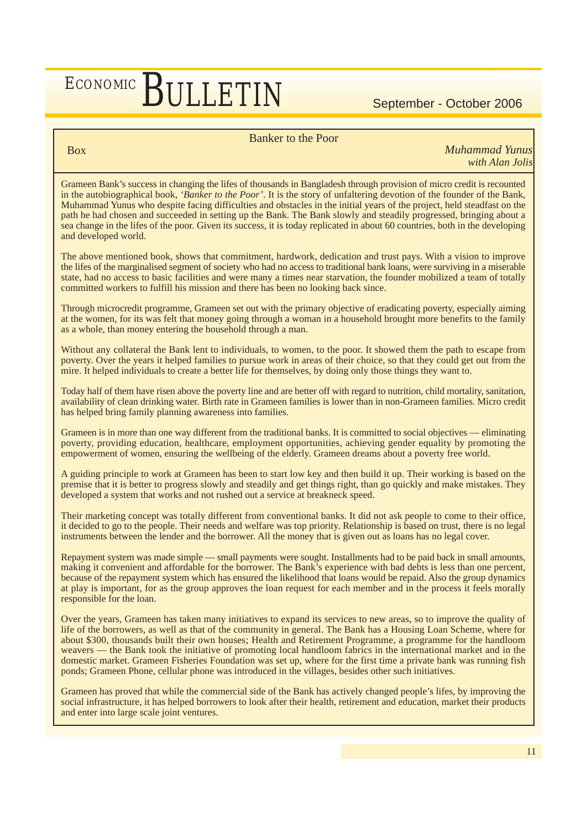### Banker to the Poor

Box

*Muhammad Yunus with Alan Jolis*

Grameen Bank's success in changing the lifes of thousands in Bangladesh through provision of micro credit is recounted in the autobiographical book, *'Banker to the Poor'*. It is the story of unfaltering devotion of the founder of the Bank, Muhammad Yunus who despite facing difficulties and obstacles in the initial years of the project, held steadfast on the path he had chosen and succeeded in setting up the Bank. The Bank slowly and steadily progressed, bringing about a sea change in the lifes of the poor. Given its success, it is today replicated in about 60 countries, both in the developing and developed world.

The above mentioned book, shows that commitment, hardwork, dedication and trust pays. With a vision to improve the lifes of the marginalised segment of society who had no access to traditional bank loans, were surviving in a miserable state, had no access to basic facilities and were many a times near starvation, the founder mobilized a team of totally committed workers to fulfill his mission and there has been no looking back since.

Through microcredit programme, Grameen set out with the primary objective of eradicating poverty, especially aiming at the women, for its was felt that money going through a woman in a household brought more benefits to the family as a whole, than money entering the household through a man.

Without any collateral the Bank lent to individuals, to women, to the poor. It showed them the path to escape from poverty. Over the years it helped families to pursue work in areas of their choice, so that they could get out from the mire. It helped individuals to create a better life for themselves, by doing only those things they want to.

Today half of them have risen above the poverty line and are better off with regard to nutrition, child mortality, sanitation, availability of clean drinking water. Birth rate in Grameen families is lower than in non-Grameen families. Micro credit has helped bring family planning awareness into families.

Grameen is in more than one way different from the traditional banks. It is committed to social objectives –– eliminating poverty, providing education, healthcare, employment opportunities, achieving gender equality by promoting the empowerment of women, ensuring the wellbeing of the elderly. Grameen dreams about a poverty free world.

A guiding principle to work at Grameen has been to start low key and then build it up. Their working is based on the premise that it is better to progress slowly and steadily and get things right, than go quickly and make mistakes. They developed a system that works and not rushed out a service at breakneck speed.

Their marketing concept was totally different from conventional banks. It did not ask people to come to their office, it decided to go to the people. Their needs and welfare was top priority. Relationship is based on trust, there is no legal instruments between the lender and the borrower. All the money that is given out as loans has no legal cover.

Repayment system was made simple –– small payments were sought. Installments had to be paid back in small amounts, making it convenient and affordable for the borrower. The Bank's experience with bad debts is less than one percent, because of the repayment system which has ensured the likelihood that loans would be repaid. Also the group dynamics at play is important, for as the group approves the loan request for each member and in the process it feels morally responsible for the loan.

Over the years, Grameen has taken many initiatives to expand its services to new areas, so to improve the quality of life of the borrowers, as well as that of the community in general. The Bank has a Housing Loan Scheme, where for about \$300, thousands built their own houses; Health and Retirement Programme, a programme for the handloom weavers — the Bank took the initiative of promoting local handloom fabrics in the international market and in the domestic market. Grameen Fisheries Foundation was set up, where for the first time a private bank was running fish ponds; Grameen Phone, cellular phone was introduced in the villages, besides other such initiatives.

Grameen has proved that while the commercial side of the Bank has actively changed people's lifes, by improving the social infrastructure, it has helped borrowers to look after their health, retirement and education, market their products and enter into large scale joint ventures.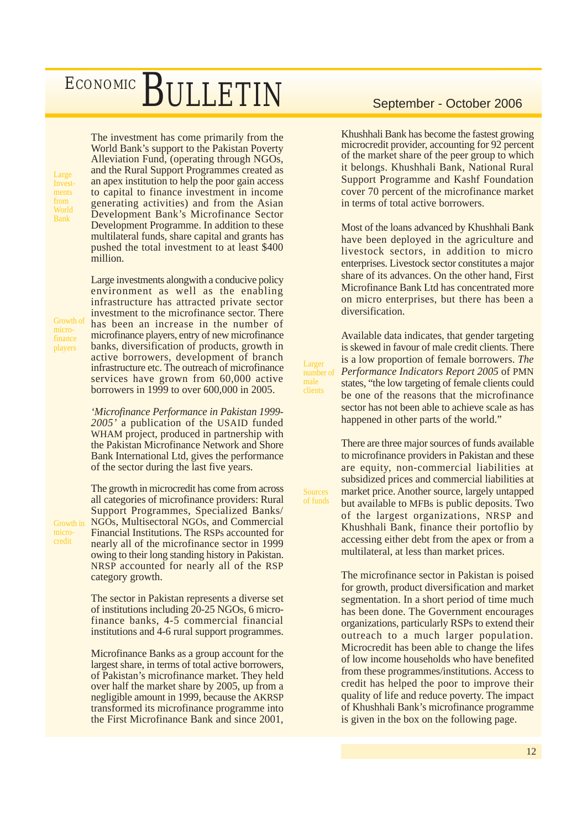Large Investments from World Bank

The investment has come primarily from the World Bank's support to the Pakistan Poverty Alleviation Fund, (operating through NGOs, and the Rural Support Programmes created as an apex institution to help the poor gain access to capital to finance investment in income generating activities) and from the Asian Development Bank's Microfinance Sector Development Programme. In addition to these multilateral funds, share capital and grants has pushed the total investment to at least \$400 million.

Large investments alongwith a conducive policy environment as well as the enabling infrastructure has attracted private sector investment to the microfinance sector. There has been an increase in the number of microfinance players, entry of new microfinance banks, diversification of products, growth in active borrowers, development of branch infrastructure etc. The outreach of microfinance services have grown from 60,000 active borrowers in 1999 to over 600,000 in 2005.

*'Microfinance Performance in Pakistan 1999- 2005'* a publication of the USAID funded WHAM project, produced in partnership with the Pakistan Microfinance Network and Shore Bank International Ltd, gives the performance of the sector during the last five years.

The growth in microcredit has come from across all categories of microfinance providers: Rural Support Programmes, Specialized Banks/ NGOs, Multisectoral NGOs, and Commercial Financial Institutions. The RSPs accounted for nearly all of the microfinance sector in 1999 owing to their long standing history in Pakistan. NRSP accounted for nearly all of the RSP category growth.

The sector in Pakistan represents a diverse set of institutions including 20-25 NGOs, 6 microfinance banks, 4-5 commercial financial institutions and 4-6 rural support programmes.

Microfinance Banks as a group account for the largest share, in terms of total active borrowers, of Pakistan's microfinance market. They held over half the market share by 2005, up from a negligible amount in 1999, because the AKRSP transformed its microfinance programme into the First Microfinance Bank and since 2001,

Khushhali Bank has become the fastest growing microcredit provider, accounting for 92 percent of the market share of the peer group to which it belongs. Khushhali Bank, National Rural Support Programme and Kashf Foundation cover 70 percent of the microfinance market in terms of total active borrowers.

Most of the loans advanced by Khushhali Bank have been deployed in the agriculture and livestock sectors, in addition to micro enterprises. Livestock sector constitutes a major share of its advances. On the other hand, First Microfinance Bank Ltd has concentrated more on micro enterprises, but there has been a diversification.

Available data indicates, that gender targeting is skewed in favour of male credit clients. There is a low proportion of female borrowers. *The Performance Indicators Report 2005* of PMN states, "the low targeting of female clients could be one of the reasons that the microfinance sector has not been able to achieve scale as has happened in other parts of the world."

Larger number of male clients

**Sources** of funds

There are three major sources of funds available to microfinance providers in Pakistan and these are equity, non-commercial liabilities at subsidized prices and commercial liabilities at market price. Another source, largely untapped but available to MFBs is public deposits. Two of the largest organizations, NRSP and Khushhali Bank, finance their portoflio by accessing either debt from the apex or from a multilateral, at less than market prices.

The microfinance sector in Pakistan is poised for growth, product diversification and market segmentation. In a short period of time much has been done. The Government encourages organizations, particularly RSPs to extend their outreach to a much larger population. Microcredit has been able to change the lifes of low income households who have benefited from these programmes/institutions. Access to credit has helped the poor to improve their quality of life and reduce poverty. The impact of Khushhali Bank's microfinance programme is given in the box on the following page.

microfinance players

Growth of

Growth in microcredit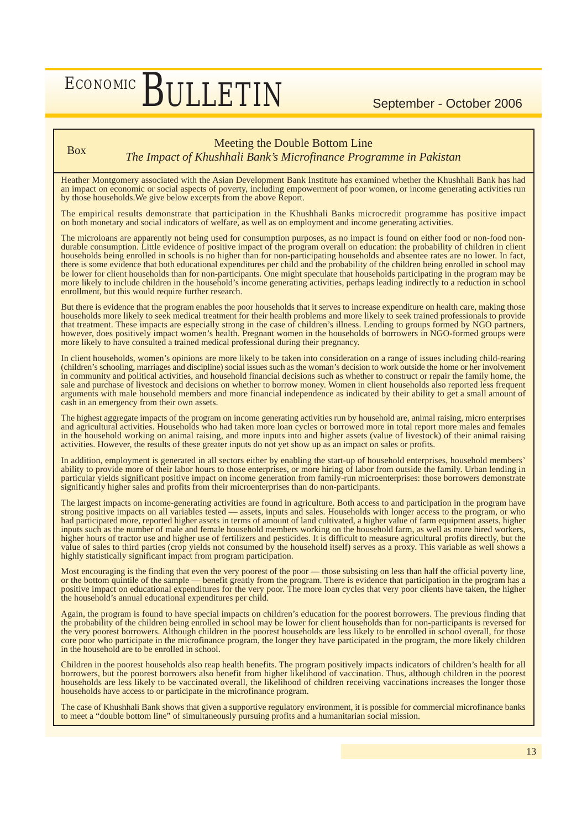### Box Meeting the Double Bottom Line

*The Impact of Khushhali Bank's Microfinance Programme in Pakistan*

Heather Montgomery associated with the Asian Development Bank Institute has examined whether the Khushhali Bank has had an impact on economic or social aspects of poverty, including empowerment of poor women, or income generating activities run by those households.We give below excerpts from the above Report.

The empirical results demonstrate that participation in the Khushhali Banks microcredit programme has positive impact on both monetary and social indicators of welfare, as well as on employment and income generating activities.

The microloans are apparently not being used for consumption purposes, as no impact is found on either food or non-food nondurable consumption. Little evidence of positive impact of the program overall on education: the probability of children in client households being enrolled in schools is no higher than for non-participating households and absentee rates are no lower. In fact, there is some evidence that both educational expenditures per child and the probability of the children being enrolled in school may be lower for client households than for non-participants. One might speculate that households participating in the program may be more likely to include children in the household's income generating activities, perhaps leading indirectly to a reduction in school enrollment, but this would require further research.

But there is evidence that the program enables the poor households that it serves to increase expenditure on health care, making those households more likely to seek medical treatment for their health problems and more likely to seek trained professionals to provide that treatment. These impacts are especially strong in the case of children's illness. Lending to groups formed by NGO partners, however, does positively impact women's health. Pregnant women in the households of borrowers in NGO-formed groups were more likely to have consulted a trained medical professional during their pregnancy.

In client households, women's opinions are more likely to be taken into consideration on a range of issues including child-rearing (children's schooling, marriages and discipline) social issues such as the woman's decision to work outside the home or her involvement in community and political activities, and household financial decisions such as whether to construct or repair the family home, the sale and purchase of livestock and decisions on whether to borrow money. Women in client households also reported less frequent arguments with male household members and more financial independence as indicated by their ability to get a small amount of cash in an emergency from their own assets.

The highest aggregate impacts of the program on income generating activities run by household are, animal raising, micro enterprises and agricultural activities. Households who had taken more loan cycles or borrowed more in total report more males and females in the household working on animal raising, and more inputs into and higher assets (value of livestock) of their animal raising activities. However, the results of these greater inputs do not yet show up as an impact on sales or profits.

In addition, employment is generated in all sectors either by enabling the start-up of household enterprises, household members' ability to provide more of their labor hours to those enterprises, or more hiring of labor from outside the family. Urban lending in particular yields significant positive impact on income generation from family-run microenterprises: those borrowers demonstrate significantly higher sales and profits from their microenterprises than do non-participants.

The largest impacts on income-generating activities are found in agriculture. Both access to and participation in the program have strong positive impacts on all variables tested — assets, inputs and sales. Households with longer access to the program, or who had participated more, reported higher assets in terms of amount of land cultivated, a higher value of farm equipment assets, higher inputs such as the number of male and female household members working on the household farm, as well as more hired workers, higher hours of tractor use and higher use of fertilizers and pesticides. It is difficult to measure agricultural profits directly, but the value of sales to third parties (crop yields not consumed by the household itself) serves as a proxy. This variable as well shows a highly statistically significant impact from program participation.

Most encouraging is the finding that even the very poorest of the poor — those subsisting on less than half the official poverty line, or the bottom quintile of the sample –– benefit greatly from the program. There is evidence that participation in the program has a positive impact on educational expenditures for the very poor. The more loan cycles that very poor clients have taken, the higher the household's annual educational expenditures per child.

Again, the program is found to have special impacts on children's education for the poorest borrowers. The previous finding that the probability of the children being enrolled in school may be lower for client households than for non-participants is reversed for the very poorest borrowers. Although children in the poorest households are less likely to be enrolled in school overall, for those core poor who participate in the microfinance program, the longer they have participated in the program, the more likely children in the household are to be enrolled in school.

Children in the poorest households also reap health benefits. The program positively impacts indicators of children's health for all borrowers, but the poorest borrowers also benefit from higher likelihood of vaccination. Thus, although children in the poorest households are less likely to be vaccinated overall, the likelihood of children receiving vaccinations increases the longer those households have access to or participate in the microfinance program.

The case of Khushhali Bank shows that given a supportive regulatory environment, it is possible for commercial microfinance banks to meet a "double bottom line" of simultaneously pursuing profits and a humanitarian social mission.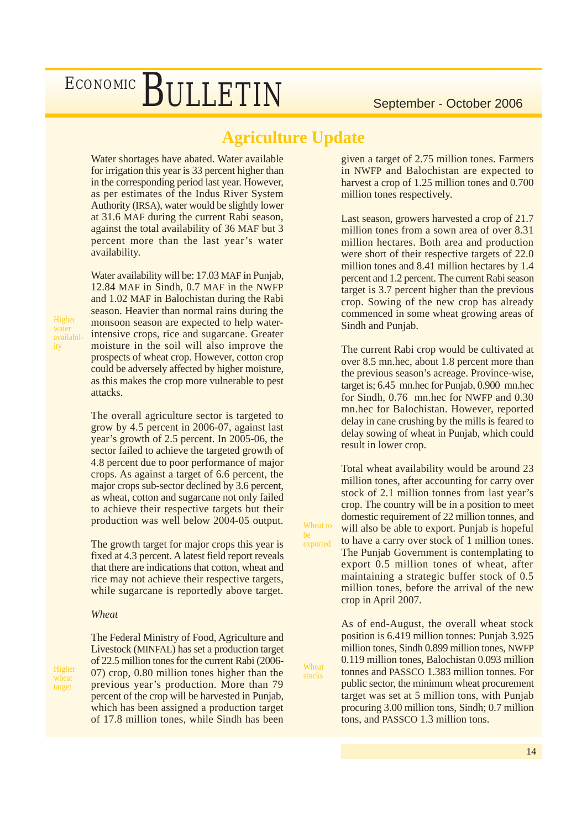### **Agriculture Update**

Wheat to be exported

Wheat stocks

Water shortages have abated. Water available for irrigation this year is 33 percent higher than in the corresponding period last year. However, as per estimates of the Indus River System Authority (IRSA), water would be slightly lower at 31.6 MAF during the current Rabi season, against the total availability of 36 MAF but 3 percent more than the last year's water availability.

Water availability will be: 17.03 MAF in Punjab, 12.84 MAF in Sindh, 0.7 MAF in the NWFP and 1.02 MAF in Balochistan during the Rabi season. Heavier than normal rains during the monsoon season are expected to help waterintensive crops, rice and sugarcane. Greater moisture in the soil will also improve the prospects of wheat crop. However, cotton crop could be adversely affected by higher moisture, as this makes the crop more vulnerable to pest attacks.

The overall agriculture sector is targeted to grow by 4.5 percent in 2006-07, against last year's growth of 2.5 percent. In 2005-06, the sector failed to achieve the targeted growth of 4.8 percent due to poor performance of major crops. As against a target of 6.6 percent, the major crops sub-sector declined by 3.6 percent, as wheat, cotton and sugarcane not only failed to achieve their respective targets but their production was well below 2004-05 output.

The growth target for major crops this year is fixed at 4.3 percent. A latest field report reveals that there are indications that cotton, wheat and rice may not achieve their respective targets, while sugarcane is reportedly above target.

### *Wheat*

**Higher** wheat target

The Federal Ministry of Food, Agriculture and Livestock (MINFAL) has set a production target of 22.5 million tones for the current Rabi (2006- 07) crop, 0.80 million tones higher than the previous year's production. More than 79 percent of the crop will be harvested in Punjab, which has been assigned a production target of 17.8 million tones, while Sindh has been

given a target of 2.75 million tones. Farmers in NWFP and Balochistan are expected to harvest a crop of 1.25 million tones and 0.700 million tones respectively.

Last season, growers harvested a crop of 21.7 million tones from a sown area of over 8.31 million hectares. Both area and production were short of their respective targets of 22.0 million tones and 8.41 million hectares by 1.4 percent and 1.2 percent. The current Rabi season target is 3.7 percent higher than the previous crop. Sowing of the new crop has already commenced in some wheat growing areas of Sindh and Punjab.

The current Rabi crop would be cultivated at over 8.5 mn.hec, about 1.8 percent more than the previous season's acreage. Province-wise, target is; 6.45 mn.hec for Punjab, 0.900 mn.hec for Sindh, 0.76 mn.hec for NWFP and 0.30 mn.hec for Balochistan. However, reported delay in cane crushing by the mills is feared to delay sowing of wheat in Punjab, which could result in lower crop.

Total wheat availability would be around 23 million tones, after accounting for carry over stock of 2.1 million tonnes from last year's crop. The country will be in a position to meet domestic requirement of 22 million tonnes, and will also be able to export. Punjab is hopeful to have a carry over stock of 1 million tones. The Punjab Government is contemplating to export 0.5 million tones of wheat, after maintaining a strategic buffer stock of 0.5 million tones, before the arrival of the new crop in April 2007.

As of end-August, the overall wheat stock position is 6.419 million tonnes: Punjab 3.925 million tones, Sindh 0.899 million tones, NWFP 0.119 million tones, Balochistan 0.093 million tonnes and PASSCO 1.383 million tonnes. For public sector, the minimum wheat procurement target was set at 5 million tons, with Punjab procuring 3.00 million tons, Sindh; 0.7 million tons, and PASSCO 1.3 million tons.

Higher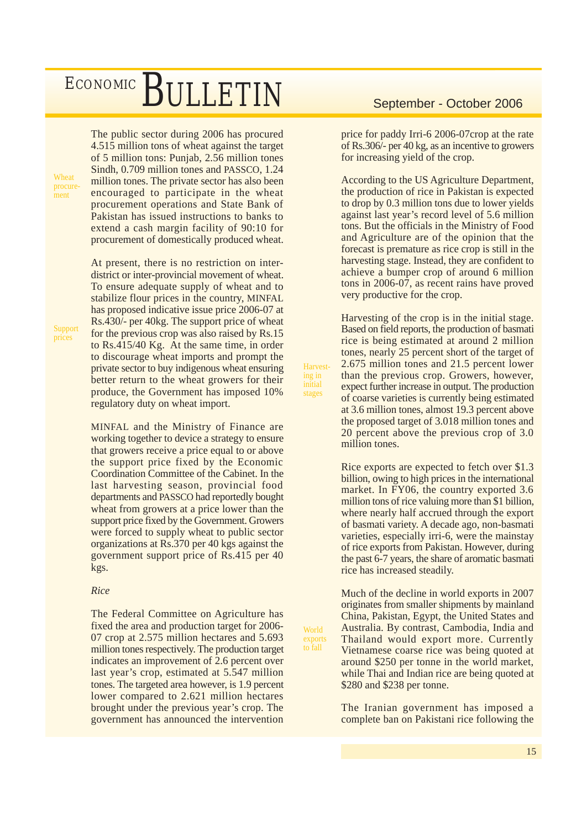The public sector during 2006 has procured 4.515 million tons of wheat against the target of 5 million tons: Punjab, 2.56 million tones Sindh, 0.709 million tones and PASSCO, 1.24 million tones. The private sector has also been encouraged to participate in the wheat procurement operations and State Bank of Pakistan has issued instructions to banks to extend a cash margin facility of 90:10 for procurement of domestically produced wheat.

At present, there is no restriction on interdistrict or inter-provincial movement of wheat. To ensure adequate supply of wheat and to stabilize flour prices in the country, MINFAL has proposed indicative issue price 2006-07 at Rs.430/- per 40kg. The support price of wheat for the previous crop was also raised by Rs.15 to Rs.415/40 Kg. At the same time, in order to discourage wheat imports and prompt the private sector to buy indigenous wheat ensuring better return to the wheat growers for their produce, the Government has imposed 10% regulatory duty on wheat import.

MINFAL and the Ministry of Finance are working together to device a strategy to ensure that growers receive a price equal to or above the support price fixed by the Economic Coordination Committee of the Cabinet. In the last harvesting season, provincial food departments and PASSCO had reportedly bought wheat from growers at a price lower than the support price fixed by the Government. Growers were forced to supply wheat to public sector organizations at Rs.370 per 40 kgs against the government support price of Rs.415 per 40 kgs.

### *Rice*

The Federal Committee on Agriculture has fixed the area and production target for 2006- 07 crop at 2.575 million hectares and 5.693 million tones respectively. The production target indicates an improvement of 2.6 percent over last year's crop, estimated at 5.547 million tones. The targeted area however, is 1.9 percent lower compared to 2.621 million hectares brought under the previous year's crop. The government has announced the intervention

price for paddy Irri-6 2006-07crop at the rate of Rs.306/- per 40 kg, as an incentive to growers for increasing yield of the crop.

According to the US Agriculture Department, the production of rice in Pakistan is expected to drop by 0.3 million tons due to lower yields against last year's record level of 5.6 million tons. But the officials in the Ministry of Food and Agriculture are of the opinion that the forecast is premature as rice crop is still in the harvesting stage. Instead, they are confident to achieve a bumper crop of around 6 million tons in 2006-07, as recent rains have proved very productive for the crop.

Harvesting of the crop is in the initial stage. Based on field reports, the production of basmati rice is being estimated at around 2 million tones, nearly 25 percent short of the target of 2.675 million tones and 21.5 percent lower than the previous crop. Growers, however, expect further increase in output. The production of coarse varieties is currently being estimated at 3.6 million tones, almost 19.3 percent above the proposed target of 3.018 million tones and 20 percent above the previous crop of 3.0 million tones.

**Harvest**ing in stages

World exports to fall

Rice exports are expected to fetch over \$1.3 billion, owing to high prices in the international market. In FY06, the country exported 3.6 million tons of rice valuing more than \$1 billion, where nearly half accrued through the export of basmati variety. A decade ago, non-basmati varieties, especially irri-6, were the mainstay of rice exports from Pakistan. However, during the past 6-7 years, the share of aromatic basmati rice has increased steadily.

Much of the decline in world exports in 2007 originates from smaller shipments by mainland China, Pakistan, Egypt, the United States and Australia. By contrast, Cambodia, India and Thailand would export more. Currently Vietnamese coarse rice was being quoted at around \$250 per tonne in the world market, while Thai and Indian rice are being quoted at \$280 and \$238 per tonne.

The Iranian government has imposed a complete ban on Pakistani rice following the

Support prices

Wheat procurement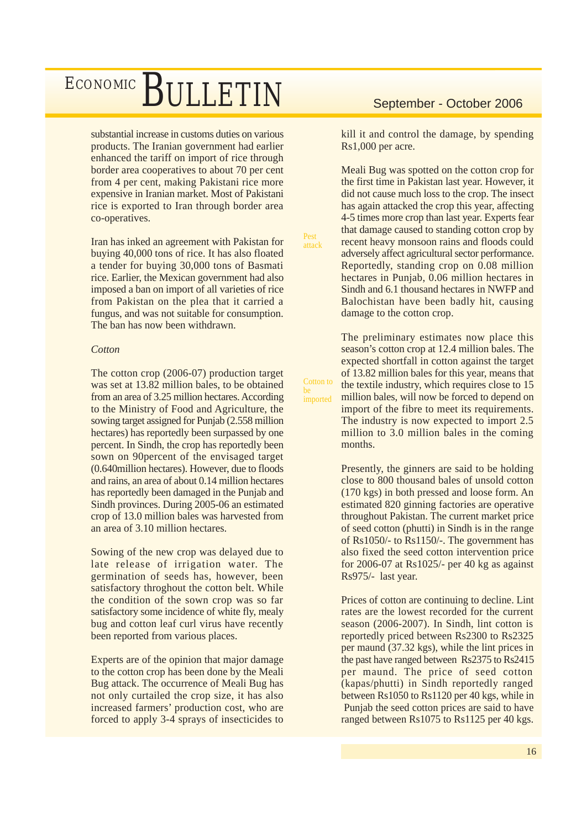substantial increase in customs duties on various products. The Iranian government had earlier enhanced the tariff on import of rice through border area cooperatives to about 70 per cent from 4 per cent, making Pakistani rice more expensive in Iranian market. Most of Pakistani rice is exported to Iran through border area co-operatives.

Iran has inked an agreement with Pakistan for buying 40,000 tons of rice. It has also floated a tender for buying 30,000 tons of Basmati rice. Earlier, the Mexican government had also imposed a ban on import of all varieties of rice from Pakistan on the plea that it carried a fungus, and was not suitable for consumption. The ban has now been withdrawn.

### *Cotton*

The cotton crop (2006-07) production target was set at 13.82 million bales, to be obtained from an area of 3.25 million hectares. According to the Ministry of Food and Agriculture, the sowing target assigned for Punjab (2.558 million hectares) has reportedly been surpassed by one percent. In Sindh, the crop has reportedly been sown on 90percent of the envisaged target (0.640million hectares). However, due to floods and rains, an area of about 0.14 million hectares has reportedly been damaged in the Punjab and Sindh provinces. During 2005-06 an estimated crop of 13.0 million bales was harvested from an area of 3.10 million hectares.

Sowing of the new crop was delayed due to late release of irrigation water. The germination of seeds has, however, been satisfactory throghout the cotton belt. While the condition of the sown crop was so far satisfactory some incidence of white fly, mealy bug and cotton leaf curl virus have recently been reported from various places.

Experts are of the opinion that major damage to the cotton crop has been done by the Meali Bug attack. The occurrence of Meali Bug has not only curtailed the crop size, it has also increased farmers' production cost, who are forced to apply 3-4 sprays of insecticides to

kill it and control the damage, by spending Rs1,000 per acre.

Meali Bug was spotted on the cotton crop for the first time in Pakistan last year. However, it did not cause much loss to the crop. The insect has again attacked the crop this year, affecting 4-5 times more crop than last year. Experts fear that damage caused to standing cotton crop by recent heavy monsoon rains and floods could adversely affect agricultural sector performance. Reportedly, standing crop on 0.08 million hectares in Punjab, 0.06 million hectares in Sindh and 6.1 thousand hectares in NWFP and Balochistan have been badly hit, causing damage to the cotton crop.

Pest attack

Cotton to be imported

The preliminary estimates now place this season's cotton crop at 12.4 million bales. The expected shortfall in cotton against the target of 13.82 million bales for this year, means that the textile industry, which requires close to 15 million bales, will now be forced to depend on import of the fibre to meet its requirements. The industry is now expected to import 2.5 million to 3.0 million bales in the coming months.

Presently, the ginners are said to be holding close to 800 thousand bales of unsold cotton (170 kgs) in both pressed and loose form. An estimated 820 ginning factories are operative throughout Pakistan. The current market price of seed cotton (phutti) in Sindh is in the range of Rs1050/- to Rs1150/-. The government has also fixed the seed cotton intervention price for 2006-07 at Rs1025/- per 40 kg as against Rs975/- last year.

Prices of cotton are continuing to decline. Lint rates are the lowest recorded for the current season (2006-2007). In Sindh, lint cotton is reportedly priced between Rs2300 to Rs2325 per maund (37.32 kgs), while the lint prices in the past have ranged between Rs2375 to Rs2415 per maund. The price of seed cotton (kapas/phutti) in Sindh reportedly ranged between Rs1050 to Rs1120 per 40 kgs, while in Punjab the seed cotton prices are said to have ranged between Rs1075 to Rs1125 per 40 kgs.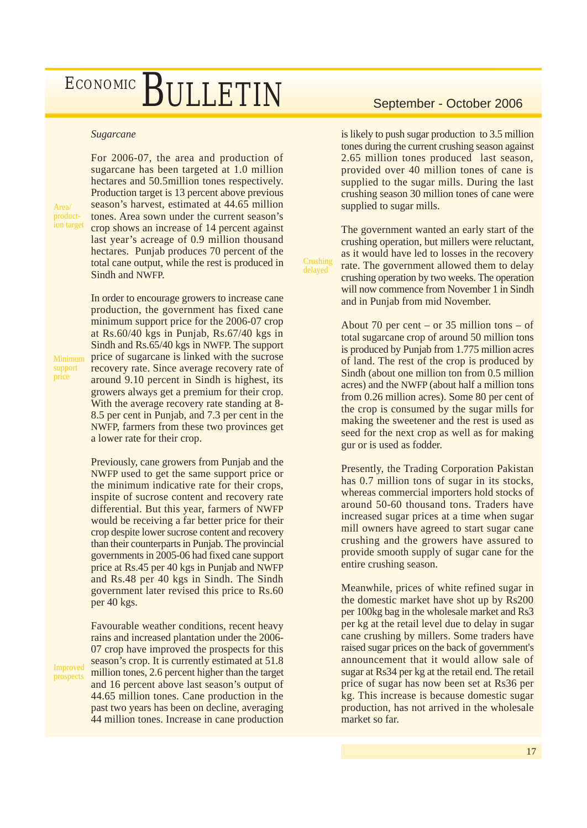### *Sugarcane*

Area/ production target For 2006-07, the area and production of sugarcane has been targeted at 1.0 million hectares and 50.5million tones respectively. Production target is 13 percent above previous season's harvest, estimated at 44.65 million tones. Area sown under the current season's crop shows an increase of 14 percent against last year's acreage of 0.9 million thousand hectares. Punjab produces 70 percent of the total cane output, while the rest is produced in Sindh and NWFP.

Minimum support price

Improved prospects

In order to encourage growers to increase cane production, the government has fixed cane minimum support price for the 2006-07 crop at Rs.60/40 kgs in Punjab, Rs.67/40 kgs in Sindh and Rs.65/40 kgs in NWFP. The support price of sugarcane is linked with the sucrose recovery rate. Since average recovery rate of around 9.10 percent in Sindh is highest, its growers always get a premium for their crop. With the average recovery rate standing at 8- 8.5 per cent in Punjab, and 7.3 per cent in the NWFP, farmers from these two provinces get a lower rate for their crop.

Previously, cane growers from Punjab and the NWFP used to get the same support price or the minimum indicative rate for their crops, inspite of sucrose content and recovery rate differential. But this year, farmers of NWFP would be receiving a far better price for their crop despite lower sucrose content and recovery than their counterparts in Punjab. The provincial governments in 2005-06 had fixed cane support price at Rs.45 per 40 kgs in Punjab and NWFP and Rs.48 per 40 kgs in Sindh. The Sindh government later revised this price to Rs.60 per 40 kgs.

Favourable weather conditions, recent heavy rains and increased plantation under the 2006- 07 crop have improved the prospects for this season's crop. It is currently estimated at 51.8 million tones, 2.6 percent higher than the target and 16 percent above last season's output of 44.65 million tones. Cane production in the past two years has been on decline, averaging 44 million tones. Increase in cane production

is likely to push sugar production to 3.5 million tones during the current crushing season against 2.65 million tones produced last season, provided over 40 million tones of cane is supplied to the sugar mills. During the last crushing season 30 million tones of cane were supplied to sugar mills.

The government wanted an early start of the crushing operation, but millers were reluctant, as it would have led to losses in the recovery rate. The government allowed them to delay crushing operation by two weeks. The operation will now commence from November 1 in Sindh and in Punjab from mid November.

**Crushing** delayed

> About 70 per cent – or 35 million tons – of total sugarcane crop of around 50 million tons is produced by Punjab from 1.775 million acres of land. The rest of the crop is produced by Sindh (about one million ton from 0.5 million acres) and the NWFP (about half a million tons from 0.26 million acres). Some 80 per cent of the crop is consumed by the sugar mills for making the sweetener and the rest is used as seed for the next crop as well as for making gur or is used as fodder.

> Presently, the Trading Corporation Pakistan has 0.7 million tons of sugar in its stocks, whereas commercial importers hold stocks of around 50-60 thousand tons. Traders have increased sugar prices at a time when sugar mill owners have agreed to start sugar cane crushing and the growers have assured to provide smooth supply of sugar cane for the entire crushing season.

> Meanwhile, prices of white refined sugar in the domestic market have shot up by Rs200 per 100kg bag in the wholesale market and Rs3 per kg at the retail level due to delay in sugar cane crushing by millers. Some traders have raised sugar prices on the back of government's announcement that it would allow sale of sugar at Rs34 per kg at the retail end. The retail price of sugar has now been set at Rs36 per kg. This increase is because domestic sugar production, has not arrived in the wholesale market so far.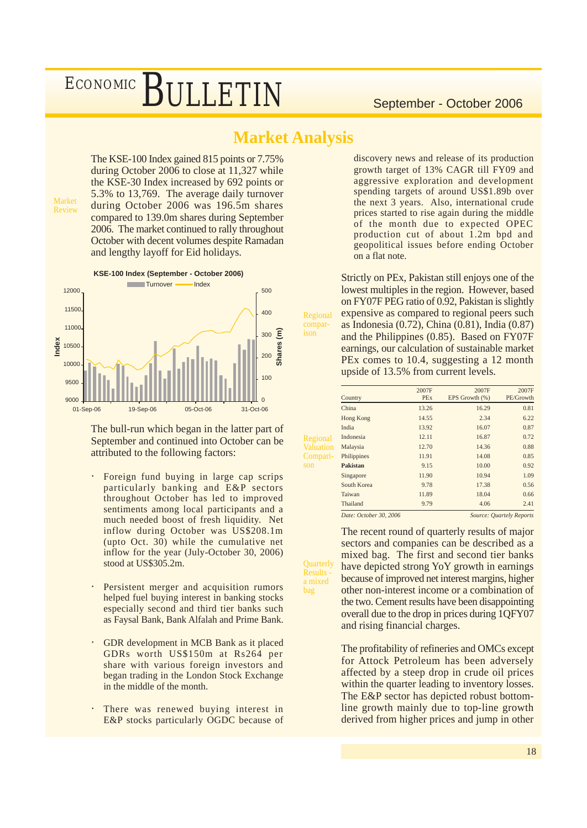### **Market Analysis**

Regional comparison

**Quarterly Results** a mixed bag

The KSE-100 Index gained 815 points or 7.75% during October 2006 to close at 11,327 while the KSE-30 Index increased by 692 points or 5.3% to 13,769. The average daily turnover during October 2006 was 196.5m shares compared to 139.0m shares during September 2006. The market continued to rally throughout October with decent volumes despite Ramadan and lengthy layoff for Eid holidays.



**KSE-100 Index (September - October 2006)**



The bull-run which began in the latter part of September and continued into October can be attributed to the following factors:

- Foreign fund buying in large cap scrips particularly banking and E&P sectors throughout October has led to improved sentiments among local participants and a much needed boost of fresh liquidity. Net inflow during October was US\$208.1m (upto Oct. 30) while the cumulative net inflow for the year (July-October 30, 2006) stood at US\$305.2m.
- Persistent merger and acquisition rumors helped fuel buying interest in banking stocks especially second and third tier banks such as Faysal Bank, Bank Alfalah and Prime Bank.
- GDR development in MCB Bank as it placed GDRs worth US\$150m at Rs264 per share with various foreign investors and began trading in the London Stock Exchange in the middle of the month.
- There was renewed buying interest in E&P stocks particularly OGDC because of

discovery news and release of its production growth target of 13% CAGR till FY09 and aggressive exploration and development spending targets of around US\$1.89b over the next 3 years. Also, international crude prices started to rise again during the middle of the month due to expected OPEC production cut of about 1.2m bpd and geopolitical issues before ending October on a flat note.

Strictly on PEx, Pakistan still enjoys one of the lowest multiples in the region. However, based on FY07F PEG ratio of 0.92, Pakistan is slightly expensive as compared to regional peers such as Indonesia (0.72), China (0.81), India (0.87) and the Philippines (0.85). Based on FY07F earnings, our calculation of sustainable market PEx comes to 10.4, suggesting a 12 month upside of 13.5% from current levels.

|                  | Country                | 2007F<br><b>PEx</b> | 2007F<br>EPS Growth (%) | 2007F<br>PE/Growth       |
|------------------|------------------------|---------------------|-------------------------|--------------------------|
|                  | China                  | 13.26               | 16.29                   | 0.81                     |
|                  | Hong Kong              | 14.55               | 2.34                    | 6.22                     |
|                  | India                  | 13.92               | 16.07                   | 0.87                     |
| Regional         | Indonesia              | 12.11               | 16.87                   | 0.72                     |
| <b>Valuation</b> | Malaysia               | 12.70               | 14.36                   | 0.88                     |
| Compari-         | Philippines            | 11.91               | 14.08                   | 0.85                     |
| son              | <b>Pakistan</b>        | 9.15                | 10.00                   | 0.92                     |
|                  | Singapore              | 11.90               | 10.94                   | 1.09                     |
|                  | South Korea            | 9.78                | 17.38                   | 0.56                     |
|                  | Taiwan                 | 11.89               | 18.04                   | 0.66                     |
|                  | Thailand               | 9.79                | 4.06                    | 2.41                     |
|                  | Date: October 30, 2006 |                     |                         | Source: Quartely Reports |

The recent round of quarterly results of major sectors and companies can be described as a mixed bag. The first and second tier banks have depicted strong YoY growth in earnings because of improved net interest margins, higher other non-interest income or a combination of the two. Cement results have been disappointing overall due to the drop in prices during 1QFY07 and rising financial charges.

The profitability of refineries and OMCs except for Attock Petroleum has been adversely affected by a steep drop in crude oil prices within the quarter leading to inventory losses. The E&P sector has depicted robust bottomline growth mainly due to top-line growth derived from higher prices and jump in other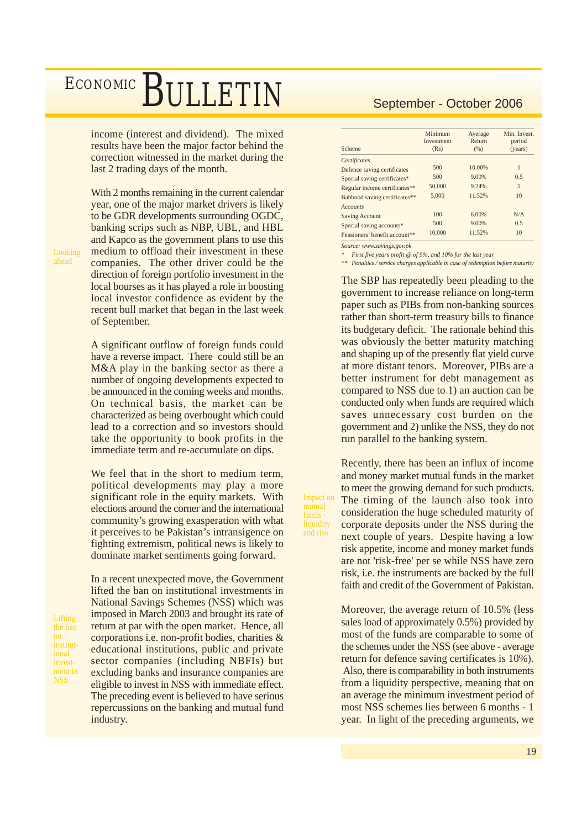income (interest and dividend). The mixed results have been the major factor behind the correction witnessed in the market during the last 2 trading days of the month.

With 2 months remaining in the current calendar year, one of the major market drivers is likely to be GDR developments surrounding OGDC, banking scrips such as NBP, UBL, and HBL and Kapco as the government plans to use this medium to offload their investment in these companies. The other driver could be the direction of foreign portfolio investment in the local bourses as it has played a role in boosting local investor confidence as evident by the recent bull market that began in the last week of September.

A significant outflow of foreign funds could have a reverse impact. There could still be an M&A play in the banking sector as there a number of ongoing developments expected to be announced in the coming weeks and months. On technical basis, the market can be characterized as being overbought which could lead to a correction and so investors should take the opportunity to book profits in the immediate term and re-accumulate on dips.

We feel that in the short to medium term, political developments may play a more significant role in the equity markets. With elections around the corner and the international community's growing exasperation with what it perceives to be Pakistan's intransigence on fighting extremism, political news is likely to dominate market sentiments going forward.

Lifting the ban on institutional investment in NSS

Looking ahead

> In a recent unexpected move, the Government lifted the ban on institutional investments in National Savings Schemes (NSS) which was imposed in March 2003 and brought its rate of return at par with the open market. Hence, all corporations i.e. non-profit bodies, charities & educational institutions, public and private sector companies (including NBFIs) but excluding banks and insurance companies are eligible to invest in NSS with immediate effect. The preceding event is believed to have serious repercussions on the banking and mutual fund industry.

| Scheme                        | Minimum<br>Investment<br>(Rs) | Average<br>Return<br>(% ) | Min. Invest.<br>period<br>(years) |
|-------------------------------|-------------------------------|---------------------------|-----------------------------------|
| Certificates                  |                               |                           |                                   |
| Defence saving certificates   | 500                           | 10.00%                    | 1                                 |
| Special saving certificates*  | 500                           | 9.00%                     | 0.5                               |
| Regular income certificates** | 50,000                        | 9.24%                     | 5                                 |
| Bahbood saving certificates** | 5.000                         | 11.52%                    | 10                                |
| <b>Accounts</b>               |                               |                           |                                   |
| <b>Saving Account</b>         | 100                           | 6.00%                     | N/A                               |
| Special saving accounts*      | 500                           | 9.00%                     | 0.5                               |
| Pensioners' benefit account** | 10.000                        | 11.52%                    | 10                                |

*Source: www.savings.gov.pk*

Impact on mutual funds liquidity and risk

*First five years profit @ of 9%, and 10% for the last year* 

*\*\* Penalties / service charges applicable in case of redemption before maturity*

The SBP has repeatedly been pleading to the government to increase reliance on long-term paper such as PIBs from non-banking sources rather than short-term treasury bills to finance its budgetary deficit. The rationale behind this was obviously the better maturity matching and shaping up of the presently flat yield curve at more distant tenors. Moreover, PIBs are a better instrument for debt management as compared to NSS due to 1) an auction can be conducted only when funds are required which saves unnecessary cost burden on the government and 2) unlike the NSS, they do not run parallel to the banking system.

Recently, there has been an influx of income and money market mutual funds in the market to meet the growing demand for such products. The timing of the launch also took into consideration the huge scheduled maturity of corporate deposits under the NSS during the next couple of years. Despite having a low risk appetite, income and money market funds are not 'risk-free' per se while NSS have zero risk, i.e. the instruments are backed by the full faith and credit of the Government of Pakistan.

Moreover, the average return of 10.5% (less sales load of approximately 0.5%) provided by most of the funds are comparable to some of the schemes under the NSS (see above - average return for defence saving certificates is 10%). Also, there is comparability in both instruments from a liquidity perspective, meaning that on an average the minimum investment period of most NSS schemes lies between 6 months - 1 year. In light of the preceding arguments, we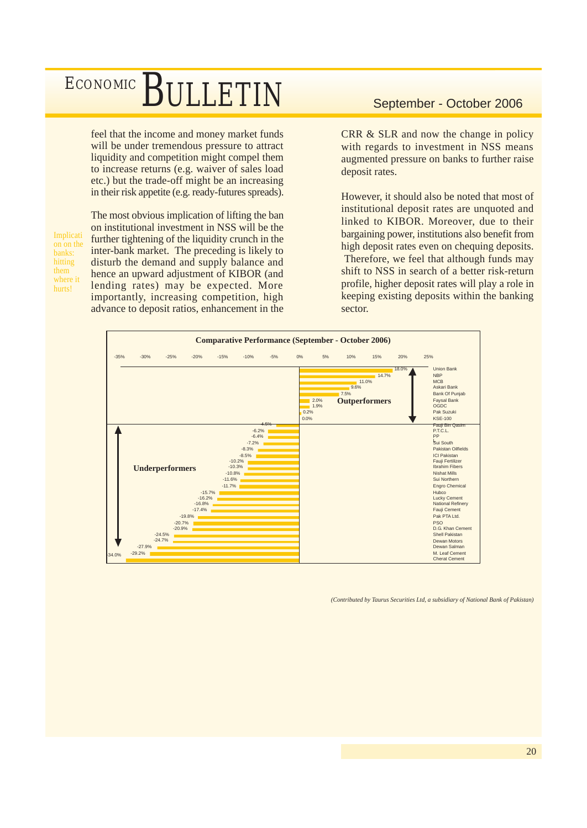feel that the income and money market funds will be under tremendous pressure to attract liquidity and competition might compel them to increase returns (e.g. waiver of sales load etc.) but the trade-off might be an increasing in their risk appetite (e.g. ready-futures spreads).

Implicati on on the banks: hitting them where it hurts!

The most obvious implication of lifting the ban on institutional investment in NSS will be the further tightening of the liquidity crunch in the inter-bank market. The preceding is likely to disturb the demand and supply balance and hence an upward adjustment of KIBOR (and lending rates) may be expected. More importantly, increasing competition, high advance to deposit ratios, enhancement in the

CRR & SLR and now the change in policy with regards to investment in NSS means augmented pressure on banks to further raise deposit rates.

However, it should also be noted that most of institutional deposit rates are unquoted and linked to KIBOR. Moreover, due to their bargaining power, institutions also benefit from high deposit rates even on chequing deposits. Therefore, we feel that although funds may shift to NSS in search of a better risk-return profile, higher deposit rates will play a role in keeping existing deposits within the banking sector.



*(Contributed by Taurus Securities Ltd, a subsidiary of National Bank of Pakistan)*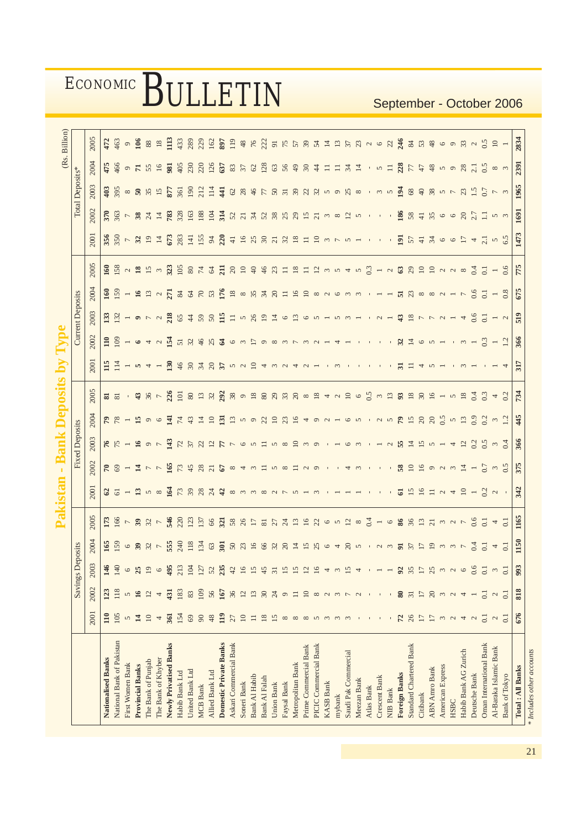|                           |                 |                          |                         |                               |                          |                                                                              |                             |                                    |                |                          |                                                                                                                                                                                                                                                                                                                                                                                                                                                                                                                                                                |                                                                                                                                                                                                                                                                                                                                                                                                                                                                                                                  |                                                                                                                                                                                                                                                                                                                 |                              |                                     |                                            |                    |                                                                                                                                                                                                                                                                                                                                                                                                          |                               | (Rs. Billion)      |
|---------------------------|-----------------|--------------------------|-------------------------|-------------------------------|--------------------------|------------------------------------------------------------------------------|-----------------------------|------------------------------------|----------------|--------------------------|----------------------------------------------------------------------------------------------------------------------------------------------------------------------------------------------------------------------------------------------------------------------------------------------------------------------------------------------------------------------------------------------------------------------------------------------------------------------------------------------------------------------------------------------------------------|------------------------------------------------------------------------------------------------------------------------------------------------------------------------------------------------------------------------------------------------------------------------------------------------------------------------------------------------------------------------------------------------------------------------------------------------------------------------------------------------------------------|-----------------------------------------------------------------------------------------------------------------------------------------------------------------------------------------------------------------------------------------------------------------------------------------------------------------|------------------------------|-------------------------------------|--------------------------------------------|--------------------|----------------------------------------------------------------------------------------------------------------------------------------------------------------------------------------------------------------------------------------------------------------------------------------------------------------------------------------------------------------------------------------------------------|-------------------------------|--------------------|
|                           |                 |                          | <b>Savings Deposits</b> |                               |                          |                                                                              |                             | <b>Fixed Deposits</b>              |                |                          |                                                                                                                                                                                                                                                                                                                                                                                                                                                                                                                                                                |                                                                                                                                                                                                                                                                                                                                                                                                                                                                                                                  | <b>Current Deposits</b>                                                                                                                                                                                                                                                                                         |                              |                                     |                                            |                    | Total Deposits*                                                                                                                                                                                                                                                                                                                                                                                          |                               |                    |
|                           | 2001            | 2002                     | 2003                    | 2004                          | 2005                     | 2001                                                                         | 2002                        | 2003                               | 2004           | 2005                     | 2001                                                                                                                                                                                                                                                                                                                                                                                                                                                                                                                                                           | 2002                                                                                                                                                                                                                                                                                                                                                                                                                                                                                                             | 2003                                                                                                                                                                                                                                                                                                            | 2004                         | 2005                                | 2001                                       | 2002               | 2003                                                                                                                                                                                                                                                                                                                                                                                                     | 2004                          | 2005               |
| Nationalised Banks        | 110             | 123                      | $146$<br>140            |                               | 173                      |                                                                              |                             |                                    |                |                          | $\frac{115}{114}$                                                                                                                                                                                                                                                                                                                                                                                                                                                                                                                                              |                                                                                                                                                                                                                                                                                                                                                                                                                                                                                                                  |                                                                                                                                                                                                                                                                                                                 |                              |                                     |                                            |                    |                                                                                                                                                                                                                                                                                                                                                                                                          |                               | 472                |
| National Bank of Pakistan | 105             | 118                      |                         |                               | $166$ $-337$             |                                                                              |                             |                                    | $PZ - 1900$    | $\frac{2}{8}$            |                                                                                                                                                                                                                                                                                                                                                                                                                                                                                                                                                                | $\frac{10}{10}$                                                                                                                                                                                                                                                                                                                                                                                                                                                                                                  | $\frac{33}{2}$ $\frac{33}{2}$ - $\sigma$ $\sim$ $\alpha$                                                                                                                                                                                                                                                        |                              |                                     | $350 - 312$                                | $350 - 87$         | 9580888                                                                                                                                                                                                                                                                                                                                                                                                  | $456$<br>$99$<br>$75$<br>$55$ | 463                |
| First Women Bank          | 5               |                          |                         |                               |                          |                                                                              |                             |                                    |                |                          |                                                                                                                                                                                                                                                                                                                                                                                                                                                                                                                                                                |                                                                                                                                                                                                                                                                                                                                                                                                                                                                                                                  |                                                                                                                                                                                                                                                                                                                 |                              |                                     |                                            |                    |                                                                                                                                                                                                                                                                                                                                                                                                          |                               | $\circ$            |
| <b>Provincial Banks</b>   | 14              | $\overline{16}$          | 25                      |                               |                          |                                                                              |                             |                                    |                | $-380$                   | $- 5 7 7 7 7$                                                                                                                                                                                                                                                                                                                                                                                                                                                                                                                                                  | $-640$                                                                                                                                                                                                                                                                                                                                                                                                                                                                                                           |                                                                                                                                                                                                                                                                                                                 |                              |                                     |                                            |                    |                                                                                                                                                                                                                                                                                                                                                                                                          |                               | 106                |
| The Bank of Punjab        | $\Xi$           | $\overline{c}$           | $\Xi$                   |                               |                          |                                                                              |                             |                                    |                |                          |                                                                                                                                                                                                                                                                                                                                                                                                                                                                                                                                                                |                                                                                                                                                                                                                                                                                                                                                                                                                                                                                                                  |                                                                                                                                                                                                                                                                                                                 |                              |                                     |                                            |                    |                                                                                                                                                                                                                                                                                                                                                                                                          |                               | $88\,$             |
| The Bank of Khyber        | 4               | 4                        |                         |                               |                          |                                                                              |                             |                                    |                |                          |                                                                                                                                                                                                                                                                                                                                                                                                                                                                                                                                                                |                                                                                                                                                                                                                                                                                                                                                                                                                                                                                                                  |                                                                                                                                                                                                                                                                                                                 |                              |                                     | $\overline{4}$                             | $\overline{4}$     | 15                                                                                                                                                                                                                                                                                                                                                                                                       | 16                            | $18\,$             |
| Newly Privatised Banks    | 361             | $\overline{431}$         | ą,                      | 19909375872                   |                          |                                                                              |                             |                                    | $\Xi$          | 226                      |                                                                                                                                                                                                                                                                                                                                                                                                                                                                                                                                                                |                                                                                                                                                                                                                                                                                                                                                                                                                                                                                                                  |                                                                                                                                                                                                                                                                                                                 |                              | 8 5 2 3 5 5 7 8 7                   | 673                                        | 783                | 877                                                                                                                                                                                                                                                                                                                                                                                                      | 981                           | Ë                  |
| Habib Bank Ltd            | 154             | 183                      | $\overline{21}$         |                               | $546$<br>220             |                                                                              |                             |                                    |                |                          |                                                                                                                                                                                                                                                                                                                                                                                                                                                                                                                                                                |                                                                                                                                                                                                                                                                                                                                                                                                                                                                                                                  |                                                                                                                                                                                                                                                                                                                 |                              |                                     | 283                                        | 328                | 361                                                                                                                                                                                                                                                                                                                                                                                                      | 405                           | 433                |
| United Bank Ltd           | $69$            | 83                       | 104                     |                               | 123                      |                                                                              |                             |                                    | 74             |                          |                                                                                                                                                                                                                                                                                                                                                                                                                                                                                                                                                                |                                                                                                                                                                                                                                                                                                                                                                                                                                                                                                                  |                                                                                                                                                                                                                                                                                                                 |                              |                                     | 141                                        | 163                | 190                                                                                                                                                                                                                                                                                                                                                                                                      | 230                           | 289                |
| <b>MCB Bank</b>           | $\infty$        | 109                      | 127                     |                               | 137                      |                                                                              |                             |                                    | $\overline{4}$ |                          |                                                                                                                                                                                                                                                                                                                                                                                                                                                                                                                                                                |                                                                                                                                                                                                                                                                                                                                                                                                                                                                                                                  |                                                                                                                                                                                                                                                                                                                 |                              |                                     |                                            | 188                | 212                                                                                                                                                                                                                                                                                                                                                                                                      | 220                           | 229                |
| Allied Bank Ltd           | 48              | 56                       | $\tilde{S}$             | $134$ $63$ $50$               | 66                       | $25 - 25$ m $\infty$ $\leq$ $R$ $R$ $R$ $\geq$ $R$ $\geq$ $m$ m m $\infty$ m |                             |                                    |                | 5893                     | $\mathbf{B} \nsubseteq \nsubseteq \mathbf{A} \nsubseteq \mathbf{A} \nsubseteq \mathbf{A} \nsubseteq \mathbf{A} \nsubseteq \mathbf{A} \nsubseteq \mathbf{A} \nsubseteq \mathbf{A} \nsubseteq \mathbf{A} \nsubseteq \mathbf{A} \nsubseteq \mathbf{A} \nsubseteq \mathbf{A} \nsubseteq \mathbf{A} \nsubseteq \mathbf{A} \nsubseteq \mathbf{A} \nsubseteq \mathbf{A} \nsubseteq \mathbf{A} \nsubseteq \mathbf{A} \nsubseteq \mathbf{A} \nsubseteq \mathbf{A} \nsubseteq \mathbf{A} \nsubseteq \mathbf{A} \nsubseteq \mathbf{A} \nsubseteq \mathbf{A} \nsubseteq \$ | $\mathbf{N} \times \mathbf{N} \times \mathbf{N} \times \mathbf{N} \times \mathbf{N} \times \mathbf{N} \times \mathbf{N} \times \mathbf{N} \times \mathbf{N} \times \mathbf{N} \times \mathbf{N} \times \mathbf{N} \times \mathbf{N} \times \mathbf{N} \times \mathbf{N} \times \mathbf{N} \times \mathbf{N} \times \mathbf{N} \times \mathbf{N} \times \mathbf{N} \times \mathbf{N} \times \mathbf{N} \times \mathbf{N} \times \mathbf{N} \times \mathbf{N} \times \mathbf{N} \times \mathbf{N} \times \mathbf{$ |                                                                                                                                                                                                                                                                                                                 |                              |                                     | $153$ $320$                                | 104                | $\overline{114}$                                                                                                                                                                                                                                                                                                                                                                                         | 126                           | 162                |
| Domestic Private Banks    | 119             | 167                      | 23                      |                               | 321                      |                                                                              |                             |                                    | 131            |                          |                                                                                                                                                                                                                                                                                                                                                                                                                                                                                                                                                                |                                                                                                                                                                                                                                                                                                                                                                                                                                                                                                                  |                                                                                                                                                                                                                                                                                                                 |                              |                                     |                                            | 314                | $\frac{41}{3}$                                                                                                                                                                                                                                                                                                                                                                                           | 637                           | 897                |
| Askari Commercial Bank    | 27              | 36                       | $\ddot{c}$              | 5023                          | $58$<br>26               |                                                                              |                             |                                    |                |                          |                                                                                                                                                                                                                                                                                                                                                                                                                                                                                                                                                                |                                                                                                                                                                                                                                                                                                                                                                                                                                                                                                                  |                                                                                                                                                                                                                                                                                                                 |                              |                                     | $\ensuremath{\mathop{\text{--}}\nolimits}$ |                    |                                                                                                                                                                                                                                                                                                                                                                                                          |                               | 119                |
| Soneri Bank               | $\approx$       | $\overline{12}$          |                         |                               |                          |                                                                              |                             |                                    |                |                          |                                                                                                                                                                                                                                                                                                                                                                                                                                                                                                                                                                |                                                                                                                                                                                                                                                                                                                                                                                                                                                                                                                  |                                                                                                                                                                                                                                                                                                                 |                              |                                     |                                            |                    |                                                                                                                                                                                                                                                                                                                                                                                                          |                               | $48$               |
| Bank Al Habib             | $\equiv$        | 13                       |                         |                               | $\overline{17}$          |                                                                              |                             |                                    |                |                          |                                                                                                                                                                                                                                                                                                                                                                                                                                                                                                                                                                |                                                                                                                                                                                                                                                                                                                                                                                                                                                                                                                  |                                                                                                                                                                                                                                                                                                                 |                              |                                     |                                            |                    |                                                                                                                                                                                                                                                                                                                                                                                                          |                               | $76$<br>222        |
| Bank Al Falah             | $18\,$          | $\mathcal{S}$            | 45                      |                               | $\overline{81}$          |                                                                              |                             |                                    |                |                          |                                                                                                                                                                                                                                                                                                                                                                                                                                                                                                                                                                |                                                                                                                                                                                                                                                                                                                                                                                                                                                                                                                  |                                                                                                                                                                                                                                                                                                                 |                              |                                     |                                            |                    |                                                                                                                                                                                                                                                                                                                                                                                                          |                               |                    |
| <b>Union Bank</b>         | 15              | 24                       | $\overline{5}$          |                               | 27                       |                                                                              |                             |                                    |                |                          |                                                                                                                                                                                                                                                                                                                                                                                                                                                                                                                                                                |                                                                                                                                                                                                                                                                                                                                                                                                                                                                                                                  |                                                                                                                                                                                                                                                                                                                 |                              |                                     |                                            |                    |                                                                                                                                                                                                                                                                                                                                                                                                          |                               |                    |
| Faysal Bank               | $\infty$        | $\circ$                  |                         |                               | $\overline{c}$           |                                                                              |                             |                                    |                |                          |                                                                                                                                                                                                                                                                                                                                                                                                                                                                                                                                                                |                                                                                                                                                                                                                                                                                                                                                                                                                                                                                                                  |                                                                                                                                                                                                                                                                                                                 |                              |                                     |                                            |                    |                                                                                                                                                                                                                                                                                                                                                                                                          |                               |                    |
| Metropolitan Bank         | $\infty$        | $\equiv$                 |                         | 8881                          |                          |                                                                              |                             |                                    |                |                          | 4                                                                                                                                                                                                                                                                                                                                                                                                                                                                                                                                                              |                                                                                                                                                                                                                                                                                                                                                                                                                                                                                                                  |                                                                                                                                                                                                                                                                                                                 |                              |                                     | 19877221                                   |                    |                                                                                                                                                                                                                                                                                                                                                                                                          | 22500                         |                    |
| Prime Commercial Bank     | $\infty$        | $\overline{10}$          |                         | 15                            |                          |                                                                              |                             |                                    |                |                          |                                                                                                                                                                                                                                                                                                                                                                                                                                                                                                                                                                |                                                                                                                                                                                                                                                                                                                                                                                                                                                                                                                  |                                                                                                                                                                                                                                                                                                                 |                              |                                     |                                            |                    |                                                                                                                                                                                                                                                                                                                                                                                                          |                               |                    |
| PICIC Commercial Bank     | $\sigma$        | $\infty$                 |                         | 25                            |                          |                                                                              |                             |                                    |                |                          |                                                                                                                                                                                                                                                                                                                                                                                                                                                                                                                                                                | $\sim$                                                                                                                                                                                                                                                                                                                                                                                                                                                                                                           |                                                                                                                                                                                                                                                                                                                 |                              |                                     | 10 n                                       |                    |                                                                                                                                                                                                                                                                                                                                                                                                          | $\ddot{4}$                    |                    |
| <b>KASB Bank</b>          |                 |                          |                         | $\circ$                       |                          |                                                                              |                             |                                    |                |                          |                                                                                                                                                                                                                                                                                                                                                                                                                                                                                                                                                                |                                                                                                                                                                                                                                                                                                                                                                                                                                                                                                                  |                                                                                                                                                                                                                                                                                                                 |                              |                                     |                                            |                    |                                                                                                                                                                                                                                                                                                                                                                                                          | 급                             |                    |
| mybank                    |                 | $\mathfrak{g}$           |                         | $\frac{4}{2}$                 | 1192652                  |                                                                              | 781277769232584315843183119 | <b>なだ1m97m2万公にわ765Ⅱ38039.163.1</b> |                | Roma Sana Roma 4 2 0 5   |                                                                                                                                                                                                                                                                                                                                                                                                                                                                                                                                                                |                                                                                                                                                                                                                                                                                                                                                                                                                                                                                                                  | $\frac{8}{23}$ $8$ $\frac{4}{3}$ $8$ $\frac{6}{3}$ $\frac{11}{2}$ $\frac{1}{2}$ $\frac{1}{2}$ $\frac{1}{2}$ $\frac{1}{2}$ $\frac{1}{2}$ $\frac{1}{2}$ $\frac{1}{2}$ $\frac{1}{2}$ $\frac{1}{2}$ $\frac{1}{2}$ $\frac{1}{2}$ $\frac{1}{2}$ $\frac{1}{2}$ $\frac{1}{2}$ $\frac{1}{2}$ $\frac{1}{2}$ $\frac{1}{2}$ |                              | S & A A H & D & & & H H W H H W W 4 |                                            | Sansaganan *       | $\begin{array}{l} \mathbb{G} \; \mathbb{R} \; \mathbb{S} \; \mathbb{S} \; \mathbb{S} \; \mathbb{S} \; \mathbb{S} \; \mathbb{S} \; \mathbb{S} \; \mathbb{S} \; \mathbb{S} \; \mathbb{S} \; \mathbb{S} \; \mathbb{S} \; \mathbb{S} \; \mathbb{S} \; \mathbb{S} \; \mathbb{S} \; \mathbb{S} \; \mathbb{S} \; \mathbb{S} \; \mathbb{S} \; \mathbb{S} \; \mathbb{S} \; \mathbb{S} \; \mathbb{S} \; \mathbb{S$ | $\equiv$                      | SELRATHERM ~ 0 2 2 |
| Saudi Pak Commercial      |                 |                          | Ľ,                      |                               |                          |                                                                              |                             |                                    |                |                          |                                                                                                                                                                                                                                                                                                                                                                                                                                                                                                                                                                |                                                                                                                                                                                                                                                                                                                                                                                                                                                                                                                  |                                                                                                                                                                                                                                                                                                                 |                              |                                     | $\sim$ $-$                                 | $\overline{5}$     |                                                                                                                                                                                                                                                                                                                                                                                                          | $24$ $\overline{4}$           |                    |
| Meezan Bank               |                 | $\overline{\mathcal{C}}$ |                         | $\overline{5}$                | $\infty$                 |                                                                              |                             |                                    |                |                          |                                                                                                                                                                                                                                                                                                                                                                                                                                                                                                                                                                |                                                                                                                                                                                                                                                                                                                                                                                                                                                                                                                  |                                                                                                                                                                                                                                                                                                                 |                              | $\overline{5}$                      |                                            | $\overline{5}$     |                                                                                                                                                                                                                                                                                                                                                                                                          |                               |                    |
| Atlas Bank                |                 |                          |                         |                               | 0.4                      |                                                                              |                             |                                    |                |                          |                                                                                                                                                                                                                                                                                                                                                                                                                                                                                                                                                                |                                                                                                                                                                                                                                                                                                                                                                                                                                                                                                                  |                                                                                                                                                                                                                                                                                                                 |                              | 0.3                                 |                                            |                    | $\sim 1$                                                                                                                                                                                                                                                                                                                                                                                                 | $\sim 10^{-1}$                |                    |
| Crescent Bank             |                 |                          |                         | $\sim$                        | $\overline{\phantom{a}}$ |                                                                              |                             |                                    |                | $\frac{3}{2}$            |                                                                                                                                                                                                                                                                                                                                                                                                                                                                                                                                                                |                                                                                                                                                                                                                                                                                                                                                                                                                                                                                                                  | $-2$                                                                                                                                                                                                                                                                                                            |                              |                                     |                                            |                    | m, m                                                                                                                                                                                                                                                                                                                                                                                                     | $\sqrt{2}$                    |                    |
| <b>NIB Bank</b>           |                 |                          |                         | $\mathfrak{g}$                | $\circ$                  |                                                                              |                             | $\sim$                             |                |                          |                                                                                                                                                                                                                                                                                                                                                                                                                                                                                                                                                                |                                                                                                                                                                                                                                                                                                                                                                                                                                                                                                                  |                                                                                                                                                                                                                                                                                                                 |                              |                                     |                                            |                    |                                                                                                                                                                                                                                                                                                                                                                                                          |                               |                    |
| <b>Foreign Banks</b>      | 72              | ಹ                        | z                       | $\overline{5}$                | 86                       | 5                                                                            | 58                          | 55                                 | $\mathbb{R}$   | 93                       |                                                                                                                                                                                                                                                                                                                                                                                                                                                                                                                                                                | $\mathfrak{L}$                                                                                                                                                                                                                                                                                                                                                                                                                                                                                                   | $\ddot{a}$                                                                                                                                                                                                                                                                                                      | 53                           |                                     | $\overline{5}$                             | 186                | $\overline{5}$                                                                                                                                                                                                                                                                                                                                                                                           | 228                           |                    |
| Standard Chartered Bank   | 26              | $\overline{31}$          | 35                      |                               | 36                       | $\frac{5}{15}$                                                               |                             | $\overline{4}$ $\overline{2}$      | 15             | $\frac{8}{18}$           |                                                                                                                                                                                                                                                                                                                                                                                                                                                                                                                                                                | 14                                                                                                                                                                                                                                                                                                                                                                                                                                                                                                               | $\frac{8}{7}$                                                                                                                                                                                                                                                                                                   |                              |                                     |                                            | $58$ $\frac{1}{4}$ | 68                                                                                                                                                                                                                                                                                                                                                                                                       | L 7                           |                    |
| Citibank                  | $\overline{17}$ | $\overline{17}$          | Ξ                       | $\overline{1}$                | 13                       |                                                                              |                             |                                    |                | 30                       |                                                                                                                                                                                                                                                                                                                                                                                                                                                                                                                                                                | $\circ$                                                                                                                                                                                                                                                                                                                                                                                                                                                                                                          |                                                                                                                                                                                                                                                                                                                 |                              |                                     |                                            |                    |                                                                                                                                                                                                                                                                                                                                                                                                          |                               |                    |
| <b>ABN Amro Bank</b>      | 17              | $\Omega$                 | $\mathcal{E}$           | $\overline{5}$                | 7727                     | $\equiv$ $\sim$ $\sim$ $\equiv$ $\sim$                                       | $1250007 -$                 | $v - 4$                            | $\infty$       | 16                       |                                                                                                                                                                                                                                                                                                                                                                                                                                                                                                                                                                | $\sqrt{2}$                                                                                                                                                                                                                                                                                                                                                                                                                                                                                                       | $PQ =$                                                                                                                                                                                                                                                                                                          | $\infty$ $\infty$ $\sim$ $-$ | $-183221188$                        | 57266542                                   | 3600877760         | 38                                                                                                                                                                                                                                                                                                                                                                                                       | 48                            |                    |
| American Express          | $\epsilon$      | $\mathfrak{c}$           |                         |                               |                          |                                                                              |                             |                                    | 0.5            |                          |                                                                                                                                                                                                                                                                                                                                                                                                                                                                                                                                                                |                                                                                                                                                                                                                                                                                                                                                                                                                                                                                                                  |                                                                                                                                                                                                                                                                                                                 |                              |                                     |                                            |                    | $\sim$ $\sim$                                                                                                                                                                                                                                                                                                                                                                                            |                               |                    |
| HSBC                      | $\mathbf{C}$    | $\mathbf{C}$             |                         | $m \, m \, r$                 |                          |                                                                              |                             |                                    |                | $\sim$                   |                                                                                                                                                                                                                                                                                                                                                                                                                                                                                                                                                                |                                                                                                                                                                                                                                                                                                                                                                                                                                                                                                                  |                                                                                                                                                                                                                                                                                                                 |                              |                                     |                                            |                    |                                                                                                                                                                                                                                                                                                                                                                                                          |                               |                    |
| Habib Bank AG Zurich      | 4               | 4                        | $\circ$                 |                               |                          |                                                                              |                             |                                    |                | $18\,$                   |                                                                                                                                                                                                                                                                                                                                                                                                                                                                                                                                                                |                                                                                                                                                                                                                                                                                                                                                                                                                                                                                                                  | $\overline{\phantom{a}}$                                                                                                                                                                                                                                                                                        | $\overline{\phantom{a}}$     |                                     |                                            |                    | 23                                                                                                                                                                                                                                                                                                                                                                                                       |                               |                    |
| Deutsche Bank             | $\mathbf{C}$    |                          | $0.6$<br>0.1            | 6.4                           | 0.6                      |                                                                              |                             |                                    |                | 0.4                      |                                                                                                                                                                                                                                                                                                                                                                                                                                                                                                                                                                |                                                                                                                                                                                                                                                                                                                                                                                                                                                                                                                  | $0.6$<br>0.1                                                                                                                                                                                                                                                                                                    | $0.6$<br>0.1                 | 0.4                                 |                                            |                    | $\frac{1.5}{0.7}$                                                                                                                                                                                                                                                                                                                                                                                        |                               |                    |
| Oman International Bank   | $\overline{0}$  | $\overline{0}$           |                         | $\overline{c}$                | $\overline{0}$ .         | 0.2                                                                          | 0.7                         |                                    |                | 0.3                      |                                                                                                                                                                                                                                                                                                                                                                                                                                                                                                                                                                | 0.3                                                                                                                                                                                                                                                                                                                                                                                                                                                                                                              |                                                                                                                                                                                                                                                                                                                 |                              |                                     |                                            |                    |                                                                                                                                                                                                                                                                                                                                                                                                          |                               |                    |
| Al-Baraka Islamic Bank    | 2               | 2                        | $\epsilon$              | $\overline{4}$ $\overline{6}$ | $\overline{6}$           | $\mathfrak{c}$                                                               | $\frac{3}{2}$               | 1233737                            | 5 2 3 3 7 12   | $\overline{\phantom{a}}$ |                                                                                                                                                                                                                                                                                                                                                                                                                                                                                                                                                                | $\overline{\phantom{a}}$                                                                                                                                                                                                                                                                                                                                                                                                                                                                                         | $-2$                                                                                                                                                                                                                                                                                                            | $\frac{1}{0.8}$              | $\overline{\phantom{a}}$            | $5\degree$                                 |                    | $\sim$ $\sim$                                                                                                                                                                                                                                                                                                                                                                                            | $\infty$ $\,\infty$           | $\Xi$ -            |
| <b>Bank of Tokyo</b>      | $\overline{0}$  | $\overline{c}$           | $\circ$                 |                               |                          |                                                                              |                             |                                    |                | 0.2                      |                                                                                                                                                                                                                                                                                                                                                                                                                                                                                                                                                                | 1.2                                                                                                                                                                                                                                                                                                                                                                                                                                                                                                              |                                                                                                                                                                                                                                                                                                                 |                              | 0.6                                 |                                            |                    |                                                                                                                                                                                                                                                                                                                                                                                                          |                               |                    |
| Total: All Banks          | 676             | 818                      | 993                     | 1150                          | 1165                     | 342                                                                          | 375                         | 366                                | 45             | 734                      | 317                                                                                                                                                                                                                                                                                                                                                                                                                                                                                                                                                            | 366                                                                                                                                                                                                                                                                                                                                                                                                                                                                                                              | 519                                                                                                                                                                                                                                                                                                             | 675                          | 775                                 | 1473                                       | 1691               | 1965                                                                                                                                                                                                                                                                                                                                                                                                     | 2391                          | 2834               |
| * Includes other accounts |                 |                          |                         |                               |                          |                                                                              |                             |                                    |                |                          |                                                                                                                                                                                                                                                                                                                                                                                                                                                                                                                                                                |                                                                                                                                                                                                                                                                                                                                                                                                                                                                                                                  |                                                                                                                                                                                                                                                                                                                 |                              |                                     |                                            |                    |                                                                                                                                                                                                                                                                                                                                                                                                          |                               |                    |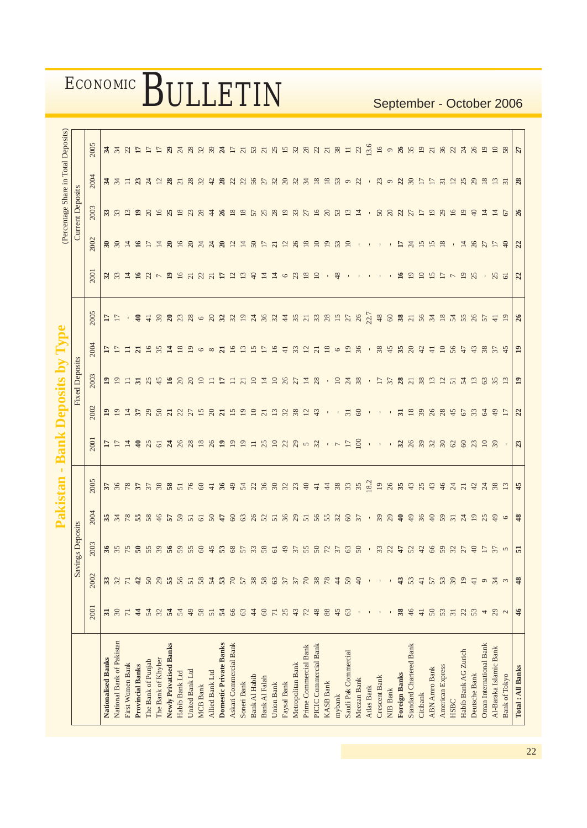|                                |                 |                        |                                                                                                                                                                                                                                                                                                                                                                                                                             | Pakistan         |                                                      |                               | <b>Bank Deposits by Type</b> |                                               |                                         |                 |                          |                                              |                         | (Percentage Share in Total Deposits) |                                  |
|--------------------------------|-----------------|------------------------|-----------------------------------------------------------------------------------------------------------------------------------------------------------------------------------------------------------------------------------------------------------------------------------------------------------------------------------------------------------------------------------------------------------------------------|------------------|------------------------------------------------------|-------------------------------|------------------------------|-----------------------------------------------|-----------------------------------------|-----------------|--------------------------|----------------------------------------------|-------------------------|--------------------------------------|----------------------------------|
|                                |                 |                        | s Deposits<br>Savings                                                                                                                                                                                                                                                                                                                                                                                                       |                  |                                                      |                               |                              | <b>Fixed Deposits</b>                         |                                         |                 |                          |                                              | <b>Current Deposits</b> |                                      |                                  |
|                                | 2001            | 2002                   | 2003                                                                                                                                                                                                                                                                                                                                                                                                                        | 2004             | 2005                                                 | 2001                          | 2002                         | 2003                                          | 2004                                    | 2005            | 2001                     | 2002                                         | 2003                    | 2004                                 | 2005                             |
| <b>Nationalised Banks</b>      | 31              | 33                     |                                                                                                                                                                                                                                                                                                                                                                                                                             |                  |                                                      |                               |                              | $\mathbf{r}$                                  |                                         | $\frac{17}{17}$ |                          |                                              |                         |                                      |                                  |
| National Bank of Pakistan      | $\overline{30}$ | 32                     |                                                                                                                                                                                                                                                                                                                                                                                                                             | 8788888          | 5 3 3 5 5 5 6 7 6 7 6 9 7 8 9 7 8 9 70 8 9 70 9 70 7 | h h h h s a c a a a a a a a a | AAAAAAAAAA                   | $\overline{5}$                                | $\frac{17}{17}$                         |                 |                          |                                              | 33                      |                                      |                                  |
| First Women Bank               | $\overline{7}$  | $\overline{7}$         |                                                                                                                                                                                                                                                                                                                                                                                                                             |                  |                                                      |                               |                              | $\equiv$                                      |                                         |                 |                          |                                              | $\mathbf{r}$            |                                      |                                  |
| <b>Provincial Banks</b>        | $\frac{4}{3}$   | 42                     |                                                                                                                                                                                                                                                                                                                                                                                                                             |                  |                                                      |                               |                              | $\overline{5}$                                |                                         | $\ddot{=}$      |                          |                                              | $\overline{19}$         |                                      |                                  |
| The Bank of Punjab             | 54              | 50                     |                                                                                                                                                                                                                                                                                                                                                                                                                             |                  |                                                      |                               |                              | 25                                            |                                         | $\overline{4}$  |                          |                                              | $\Omega$                |                                      |                                  |
| The Bank of Khyber             | 32              | 29                     |                                                                                                                                                                                                                                                                                                                                                                                                                             |                  |                                                      |                               |                              | 45                                            |                                         | 39              |                          |                                              | $\overline{16}$         |                                      |                                  |
| Newly Privatised Banks         | $\mathbf{r}$    | 55 57                  |                                                                                                                                                                                                                                                                                                                                                                                                                             | 5855             |                                                      |                               |                              |                                               |                                         |                 |                          |                                              |                         |                                      |                                  |
| Habib Bank Ltd                 | 54              |                        |                                                                                                                                                                                                                                                                                                                                                                                                                             |                  |                                                      |                               |                              |                                               |                                         |                 |                          |                                              | $\frac{8}{18}$          |                                      |                                  |
| United Bank Ltd                | 49              |                        |                                                                                                                                                                                                                                                                                                                                                                                                                             |                  |                                                      |                               |                              |                                               |                                         |                 |                          |                                              | 23                      |                                      |                                  |
| <b>MCB</b> Bank                | 58              | 58                     |                                                                                                                                                                                                                                                                                                                                                                                                                             |                  |                                                      |                               |                              | $28821$                                       | <b>NEWSHEP68</b>                        |                 |                          |                                              | $\frac{8}{3}$           |                                      |                                  |
| Allied Bank Ltd                | 51              | $54$ $53$              |                                                                                                                                                                                                                                                                                                                                                                                                                             | 50               |                                                      |                               |                              |                                               |                                         |                 |                          |                                              | $\ddot{4}$              |                                      |                                  |
| <b>Domestic Private Banks</b>  | $\mathbf{r}$    |                        |                                                                                                                                                                                                                                                                                                                                                                                                                             |                  |                                                      |                               |                              | $\frac{17}{21}$                               | <b>216355</b>                           |                 |                          |                                              | $\frac{8}{3}$           |                                      |                                  |
| Askari Commercial Bank         | 66              | $\sqrt{2}$             |                                                                                                                                                                                                                                                                                                                                                                                                                             | 60               |                                                      |                               | $\overline{15}$              |                                               |                                         |                 |                          |                                              | $\overline{18}$         |                                      |                                  |
| Soneri Bank                    | 63              | 57                     |                                                                                                                                                                                                                                                                                                                                                                                                                             |                  |                                                      |                               | $\overline{19}$              |                                               |                                         |                 |                          |                                              | $\overline{18}$         |                                      |                                  |
| Bank Al Habib                  | $\ddot{4}$      | 38                     |                                                                                                                                                                                                                                                                                                                                                                                                                             |                  |                                                      |                               | $\overline{10}$              |                                               |                                         |                 |                          |                                              | 57                      |                                      |                                  |
| Bank Al Falah                  | $\mbox{6}$      | 58                     |                                                                                                                                                                                                                                                                                                                                                                                                                             |                  |                                                      |                               | $\overline{c}$               |                                               |                                         |                 |                          |                                              | 25                      |                                      |                                  |
| <b>Union Bank</b>              | $\overline{7}$  | 637                    |                                                                                                                                                                                                                                                                                                                                                                                                                             |                  |                                                      |                               | 13 <sub>2</sub>              |                                               | $\begin{array}{c} 16 \\ 41 \end{array}$ |                 |                          |                                              | 28                      |                                      |                                  |
| Faysal Bank                    | 25              |                        |                                                                                                                                                                                                                                                                                                                                                                                                                             |                  |                                                      |                               |                              | 2128718                                       |                                         |                 |                          |                                              | $\overline{19}$         |                                      |                                  |
| Metropolitan Bank              | 43              | $\frac{27}{2}$         |                                                                                                                                                                                                                                                                                                                                                                                                                             |                  |                                                      |                               | 38                           |                                               |                                         |                 | 23                       |                                              | $\frac{27}{27}$         |                                      |                                  |
| Prime Commercial Bank          | 72              |                        |                                                                                                                                                                                                                                                                                                                                                                                                                             |                  |                                                      |                               | $\overline{2}$               |                                               |                                         |                 | $\frac{8}{10}$           |                                              |                         |                                      |                                  |
| PICIC Commercial Bank          | 48              | 38                     |                                                                                                                                                                                                                                                                                                                                                                                                                             | $88855835888885$ |                                                      | $132220000 - 5$               | 43                           |                                               | 3228628                                 |                 |                          |                                              | 16                      |                                      |                                  |
| <b>KASB Bank</b>               | 88              | $78$                   |                                                                                                                                                                                                                                                                                                                                                                                                                             |                  |                                                      |                               |                              |                                               |                                         |                 |                          | $\overline{19}$                              | 203                     |                                      |                                  |
| mybank                         | 45              | $\ddot{4}$             |                                                                                                                                                                                                                                                                                                                                                                                                                             |                  |                                                      |                               |                              |                                               |                                         |                 | 48                       | 53                                           |                         |                                      |                                  |
| Saudi Pak Commercial           | 63              | 59                     |                                                                                                                                                                                                                                                                                                                                                                                                                             |                  | 48888                                                |                               | $\overline{31}$              | .278                                          |                                         |                 |                          |                                              |                         |                                      |                                  |
| Meezan Bank                    |                 | 40                     |                                                                                                                                                                                                                                                                                                                                                                                                                             |                  |                                                      | 100                           | 60                           |                                               |                                         |                 |                          |                                              | $\overline{4}$          |                                      |                                  |
| Atlas Bank                     |                 |                        |                                                                                                                                                                                                                                                                                                                                                                                                                             | $\sim 1$         |                                                      |                               |                              |                                               | $\sim 1$                                |                 |                          |                                              |                         |                                      |                                  |
| Crescent Bank                  |                 |                        |                                                                                                                                                                                                                                                                                                                                                                                                                             | 39               | 329899                                               |                               |                              | $-5587$                                       |                                         |                 |                          |                                              | $50\,$                  | $-30335557$                          |                                  |
| <b>NIB Bank</b>                |                 |                        |                                                                                                                                                                                                                                                                                                                                                                                                                             | 29               |                                                      |                               |                              |                                               |                                         | $60$ 38 $71$    |                          |                                              | $\Omega$                |                                      | $\circ$ $8.8$ $2.78$ $8.8$ $3.8$ |
| <b>Foreign Banks</b>           | 38              | $\ddot{a}$             |                                                                                                                                                                                                                                                                                                                                                                                                                             |                  |                                                      |                               | $\overline{5}$               |                                               |                                         |                 | $\approx$                | $\overline{17}$                              | $\frac{27}{27}$         |                                      |                                  |
| Standard Chartered Bank        | 46              | 53                     |                                                                                                                                                                                                                                                                                                                                                                                                                             | 49               |                                                      |                               | 18                           |                                               |                                         |                 | $\overline{19}$          | $\overline{c}$                               |                         |                                      |                                  |
| Citibank                       | $\overline{41}$ | $\overline{4}$         |                                                                                                                                                                                                                                                                                                                                                                                                                             | 36               | 25                                                   |                               |                              |                                               |                                         |                 | $\overline{10}$          |                                              | $\Box$                  |                                      |                                  |
| <b>ABN Amro Bank</b>           | 50              | 57                     |                                                                                                                                                                                                                                                                                                                                                                                                                             |                  | 43                                                   |                               | 388                          | $\begin{array}{c} 28 \\ 21 \\ 21 \end{array}$ |                                         | 56 34 18        | 15                       | $\begin{array}{c} 15 \\ 15 \\ 8 \end{array}$ | 28                      |                                      |                                  |
| <b>American Express</b>        | 53              |                        |                                                                                                                                                                                                                                                                                                                                                                                                                             | 59               | 46                                                   |                               |                              |                                               | $\overline{10}$                         |                 |                          |                                              |                         |                                      |                                  |
| HSBC                           | $\overline{31}$ | 39                     |                                                                                                                                                                                                                                                                                                                                                                                                                             |                  |                                                      |                               | 45                           |                                               | 5647                                    |                 | $\overline{\phantom{a}}$ |                                              | 16                      |                                      |                                  |
| Habib Bank AG Zurich           | 22              | 19                     |                                                                                                                                                                                                                                                                                                                                                                                                                             | $31$ $24$        |                                                      |                               | 67                           |                                               |                                         | 54 55 26        | 25                       |                                              | $\Xi$                   | 258                                  |                                  |
| Deutsche Bank                  | 53              | $\overline{+}$         |                                                                                                                                                                                                                                                                                                                                                                                                                             |                  |                                                      |                               | 33                           |                                               |                                         |                 |                          |                                              | $\Theta$                |                                      |                                  |
| <b>Oman International Bank</b> | 4               | $\circ$                |                                                                                                                                                                                                                                                                                                                                                                                                                             | 25               |                                                      |                               | $\mathcal{L}$                |                                               |                                         | 57              |                          |                                              | $\overline{4}$          | $\frac{8}{10}$                       | 19                               |
| Al-Baraka Islamic Bank         | 29              | $\frac{4}{3}$ $\omega$ | $\begin{array}{l} \texttt{X} \texttt{X} \texttt{X} \texttt{X} \texttt{X} \texttt{X} \texttt{X} \texttt{X} \texttt{X} \texttt{X} \texttt{X} \texttt{X} \texttt{X} \texttt{X} \texttt{X} \texttt{X} \texttt{X} \texttt{X} \texttt{X} \texttt{X} \texttt{X} \texttt{X} \texttt{X} \texttt{X} \texttt{X} \texttt{X} \texttt{X} \texttt{X} \texttt{X} \texttt{X} \texttt{X} \texttt{X} \texttt{X} \texttt{X} \texttt{X} \texttt$ | $\Theta$         | 2122285                                              |                               | $\frac{6}{7}$                | 552682                                        | 7.8874                                  | $\overline{+}$  | $-25$                    | $-18579$                                     | $\overline{z}$          |                                      | $\Xi$                            |
| Bank of Tokyo                  | $\sim$          |                        |                                                                                                                                                                                                                                                                                                                                                                                                                             | $\circ$          |                                                      |                               | $\overline{z}$               |                                               |                                         | $\overline{19}$ |                          |                                              | 67                      |                                      | 58                               |
| Total: All Banks               | $\frac{2}{3}$   | 48                     |                                                                                                                                                                                                                                                                                                                                                                                                                             | 48               | 45                                                   | 23                            | $\overline{c}$               | $\overline{1}$                                | $\mathbf{r}$                            | $\frac{26}{5}$  | $\overline{c}$           | $\mathfrak{a}$                               | $\frac{26}{5}$          | $\frac{8}{3}$                        | $\overline{z}$                   |
|                                |                 |                        |                                                                                                                                                                                                                                                                                                                                                                                                                             |                  |                                                      |                               |                              |                                               |                                         |                 |                          |                                              |                         |                                      |                                  |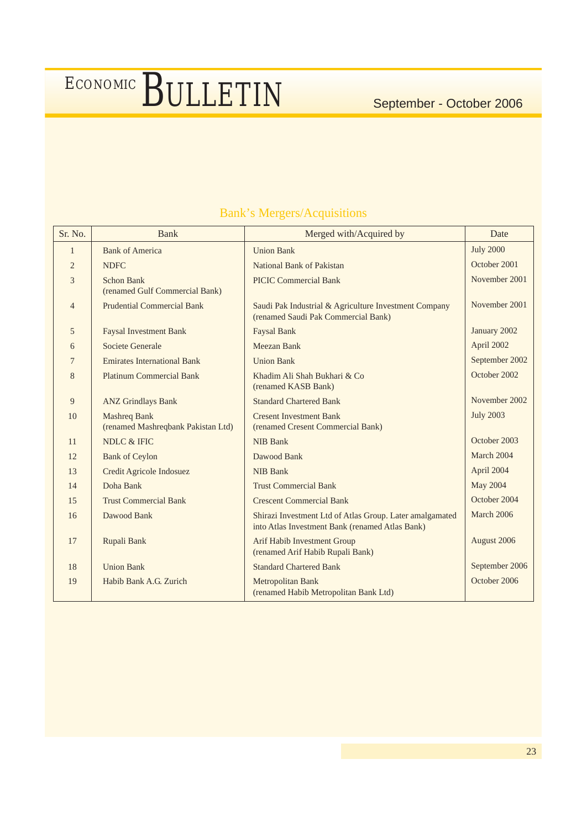| Sr. No.        | Bank                                                      | Merged with/Acquired by                                                                                     | Date             |
|----------------|-----------------------------------------------------------|-------------------------------------------------------------------------------------------------------------|------------------|
| 1              | <b>Bank of America</b>                                    | <b>Union Bank</b>                                                                                           | <b>July 2000</b> |
| $\overline{2}$ | <b>NDFC</b>                                               | National Bank of Pakistan                                                                                   | October 2001     |
| 3              | <b>Schon Bank</b><br>(renamed Gulf Commercial Bank)       | <b>PICIC Commercial Bank</b>                                                                                | November 2001    |
| $\overline{4}$ | <b>Prudential Commercial Bank</b>                         | Saudi Pak Industrial & Agriculture Investment Company<br>(renamed Saudi Pak Commercial Bank)                | November 2001    |
| 5              | <b>Faysal Investment Bank</b>                             | <b>Faysal Bank</b>                                                                                          | January 2002     |
| 6              | Societe Generale                                          | Meezan Bank                                                                                                 | April 2002       |
| 7              | <b>Emirates International Bank</b>                        | <b>Union Bank</b>                                                                                           | September 2002   |
| 8              | <b>Platinum Commercial Bank</b>                           | Khadim Ali Shah Bukhari & Co<br>(renamed KASB Bank)                                                         | October 2002     |
| 9              | <b>ANZ Grindlays Bank</b>                                 | <b>Standard Chartered Bank</b>                                                                              | November 2002    |
| 10             | <b>Mashreq Bank</b><br>(renamed Mashreqbank Pakistan Ltd) | <b>Cresent Investment Bank</b><br>(renamed Cresent Commercial Bank)                                         | <b>July 2003</b> |
| 11             | NDLC & IFIC                                               | <b>NIB Bank</b>                                                                                             | October 2003     |
| 12             | <b>Bank of Ceylon</b>                                     | Dawood Bank                                                                                                 | March 2004       |
| 13             | Credit Agricole Indosuez                                  | <b>NIB Bank</b>                                                                                             | April 2004       |
| 14             | Doha Bank                                                 | <b>Trust Commercial Bank</b>                                                                                | May 2004         |
| 15             | <b>Trust Commercial Bank</b>                              | <b>Crescent Commercial Bank</b>                                                                             | October 2004     |
| 16             | Dawood Bank                                               | Shirazi Investment Ltd of Atlas Group. Later amalgamated<br>into Atlas Investment Bank (renamed Atlas Bank) | March 2006       |
| 17             | Rupali Bank                                               | <b>Arif Habib Investment Group</b><br>(renamed Arif Habib Rupali Bank)                                      | August 2006      |
| 18             | <b>Union Bank</b>                                         | <b>Standard Chartered Bank</b>                                                                              | September 2006   |
| 19             | Habib Bank A.G. Zurich                                    | Metropolitan Bank<br>(renamed Habib Metropolitan Bank Ltd)                                                  | October 2006     |

### Bank's Mergers/Acquisitions